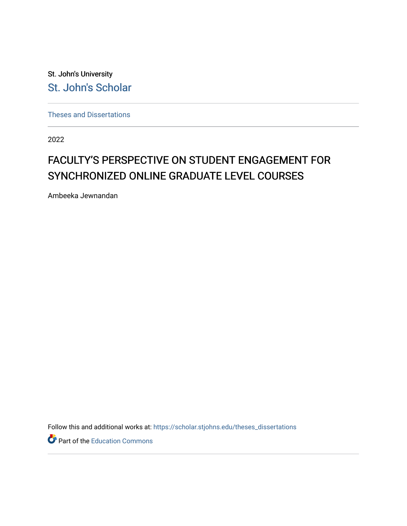St. John's University [St. John's Scholar](https://scholar.stjohns.edu/) 

[Theses and Dissertations](https://scholar.stjohns.edu/theses_dissertations)

2022

# FACULTY'S PERSPECTIVE ON STUDENT ENGAGEMENT FOR SYNCHRONIZED ONLINE GRADUATE LEVEL COURSES

Ambeeka Jewnandan

Follow this and additional works at: [https://scholar.stjohns.edu/theses\\_dissertations](https://scholar.stjohns.edu/theses_dissertations?utm_source=scholar.stjohns.edu%2Ftheses_dissertations%2F364&utm_medium=PDF&utm_campaign=PDFCoverPages)

Part of the [Education Commons](http://network.bepress.com/hgg/discipline/784?utm_source=scholar.stjohns.edu%2Ftheses_dissertations%2F364&utm_medium=PDF&utm_campaign=PDFCoverPages)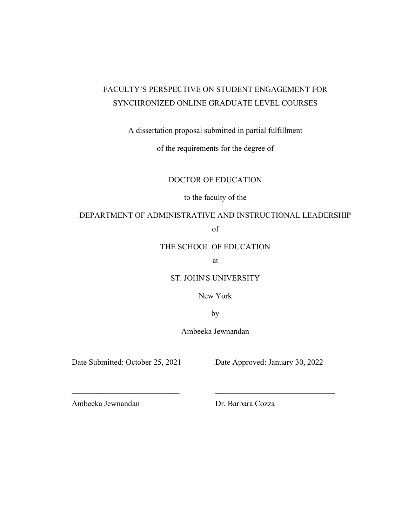# FACULTY'S PERSPECTIVE ON STUDENT ENGAGEMENT FOR SYNCHRONIZED ONLINE GRADUATE LEVEL COURSES

A dissertation proposal submitted in partial fulfillment

of the requirements for the degree of

DOCTOR OF EDUCATION

to the faculty of the

# DEPARTMENT OF ADMINISTRATIVE AND INSTRUCTIONAL LEADERSHIP

of

# THE SCHOOL OF EDUCATION

at

ST. JOHN'S UNIVERSITY

New York

by

Ambeeka Jewnandan

Date Submitted: October 25, 2021 Date Approved: January 30, 2022

Ambeeka Jewnandan Dr. Barbara Cozza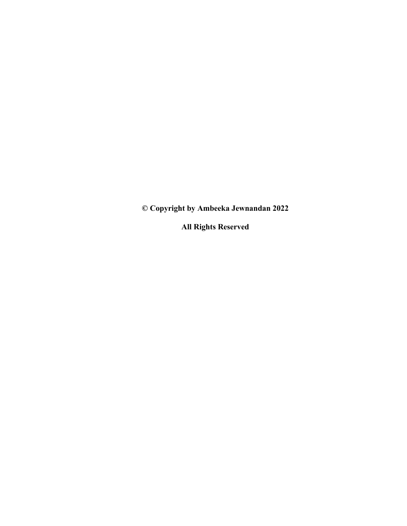**© Copyright by Ambeeka Jewnandan 2022**

**All Rights Reserved**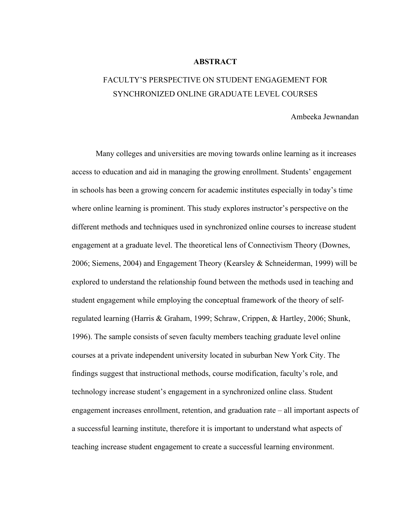# **ABSTRACT**

# FACULTY'S PERSPECTIVE ON STUDENT ENGAGEMENT FOR SYNCHRONIZED ONLINE GRADUATE LEVEL COURSES

# Ambeeka Jewnandan

Many colleges and universities are moving towards online learning as it increases access to education and aid in managing the growing enrollment. Students' engagement in schools has been a growing concern for academic institutes especially in today's time where online learning is prominent. This study explores instructor's perspective on the different methods and techniques used in synchronized online courses to increase student engagement at a graduate level. The theoretical lens of Connectivism Theory (Downes, 2006; Siemens, 2004) and Engagement Theory (Kearsley & Schneiderman, 1999) will be explored to understand the relationship found between the methods used in teaching and student engagement while employing the conceptual framework of the theory of selfregulated learning (Harris & Graham, 1999; Schraw, Crippen, & Hartley, 2006; Shunk, 1996). The sample consists of seven faculty members teaching graduate level online courses at a private independent university located in suburban New York City. The findings suggest that instructional methods, course modification, faculty's role, and technology increase student's engagement in a synchronized online class. Student engagement increases enrollment, retention, and graduation rate – all important aspects of a successful learning institute, therefore it is important to understand what aspects of teaching increase student engagement to create a successful learning environment.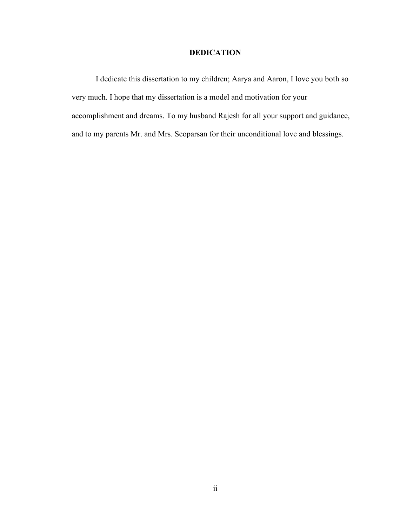# **DEDICATION**

<span id="page-4-0"></span>I dedicate this dissertation to my children; Aarya and Aaron, I love you both so very much. I hope that my dissertation is a model and motivation for your accomplishment and dreams. To my husband Rajesh for all your support and guidance, and to my parents Mr. and Mrs. Seoparsan for their unconditional love and blessings.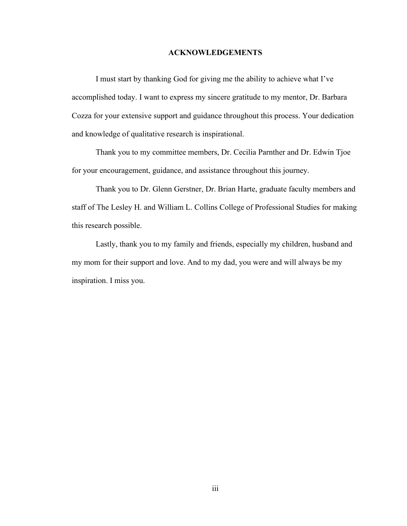# **ACKNOWLEDGEMENTS**

<span id="page-5-0"></span>I must start by thanking God for giving me the ability to achieve what I've accomplished today. I want to express my sincere gratitude to my mentor, Dr. Barbara Cozza for your extensive support and guidance throughout this process. Your dedication and knowledge of qualitative research is inspirational.

Thank you to my committee members, Dr. Cecilia Parnther and Dr. Edwin Tjoe for your encouragement, guidance, and assistance throughout this journey.

Thank you to Dr. Glenn Gerstner, Dr. Brian Harte, graduate faculty members and staff of The Lesley H. and William L. Collins College of Professional Studies for making this research possible.

Lastly, thank you to my family and friends, especially my children, husband and my mom for their support and love. And to my dad, you were and will always be my inspiration. I miss you.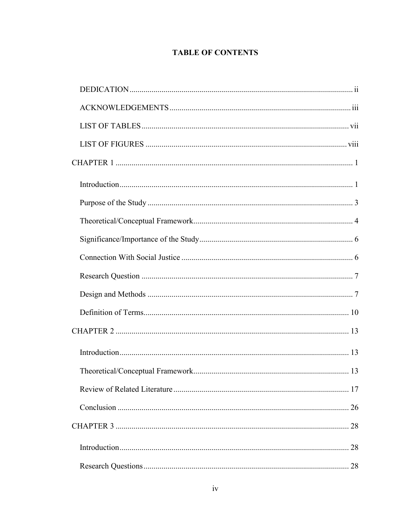# **TABLE OF CONTENTS**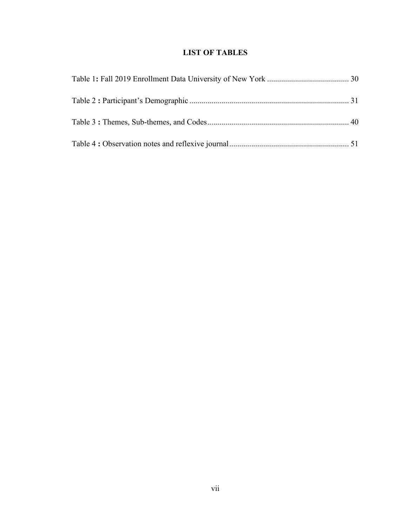# **LIST OF TABLES**

<span id="page-9-0"></span>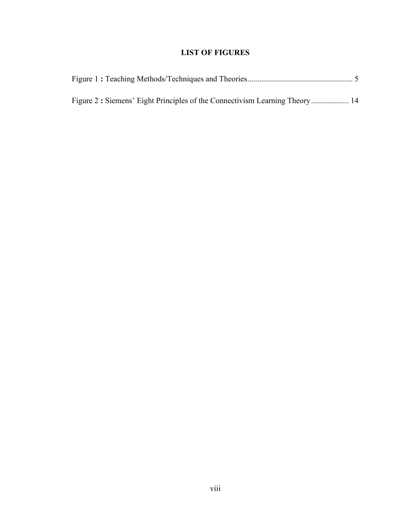# **LIST OF FIGURES**

<span id="page-10-0"></span>

| Figure 2: Siemens' Eight Principles of the Connectivism Learning Theory 14 |  |
|----------------------------------------------------------------------------|--|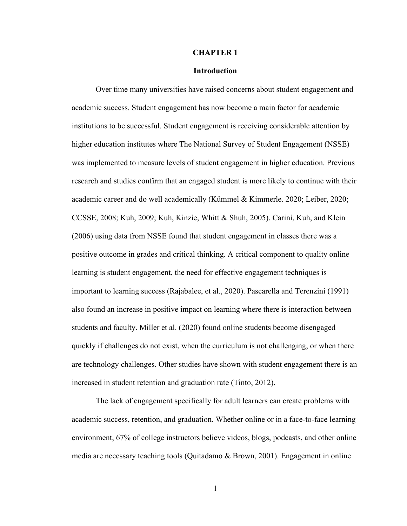# **CHAPTER 1**

# **Introduction**

<span id="page-11-1"></span><span id="page-11-0"></span>Over time many universities have raised concerns about student engagement and academic success. Student engagement has now become a main factor for academic institutions to be successful. Student engagement is receiving considerable attention by higher education institutes where The National Survey of Student Engagement (NSSE) was implemented to measure levels of student engagement in higher education. Previous research and studies confirm that an engaged student is more likely to continue with their academic career and do well academically (Kümmel & Kimmerle. 2020; Leiber, 2020; CCSSE, 2008; Kuh, 2009; Kuh, Kinzie, Whitt & Shuh, 2005). Carini, Kuh, and Klein (2006) using data from NSSE found that student engagement in classes there was a positive outcome in grades and critical thinking. A critical component to quality online learning is student engagement, the need for effective engagement techniques is important to learning success (Rajabalee, et al., 2020). Pascarella and Terenzini (1991) also found an increase in positive impact on learning where there is interaction between students and faculty. Miller et al. (2020) found online students become disengaged quickly if challenges do not exist, when the curriculum is not challenging, or when there are technology challenges. Other studies have shown with student engagement there is an increased in student retention and graduation rate (Tinto, 2012).

The lack of engagement specifically for adult learners can create problems with academic success, retention, and graduation. Whether online or in a face-to-face learning environment, 67% of college instructors believe videos, blogs, podcasts, and other online media are necessary teaching tools (Quitadamo & Brown, 2001). Engagement in online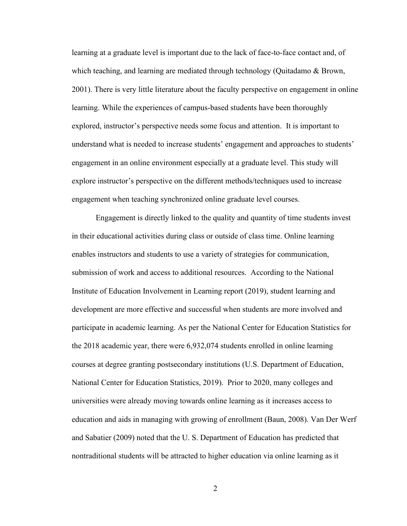learning at a graduate level is important due to the lack of face-to-face contact and, of which teaching, and learning are mediated through technology (Quitadamo & Brown, 2001). There is very little literature about the faculty perspective on engagement in online learning. While the experiences of campus-based students have been thoroughly explored, instructor's perspective needs some focus and attention. It is important to understand what is needed to increase students' engagement and approaches to students' engagement in an online environment especially at a graduate level. This study will explore instructor's perspective on the different methods/techniques used to increase engagement when teaching synchronized online graduate level courses.

Engagement is directly linked to the quality and quantity of time students invest in their educational activities during class or outside of class time. Online learning enables instructors and students to use a variety of strategies for communication, submission of work and access to additional resources. According to the National Institute of Education Involvement in Learning report (2019), student learning and development are more effective and successful when students are more involved and participate in academic learning. As per the National Center for Education Statistics for the 2018 academic year, there were 6,932,074 students enrolled in online learning courses at degree granting postsecondary institutions (U.S. Department of Education, National Center for Education Statistics, 2019). Prior to 2020, many colleges and universities were already moving towards online learning as it increases access to education and aids in managing with growing of enrollment (Baun, 2008). Van Der Werf and Sabatier (2009) noted that the U. S. Department of Education has predicted that nontraditional students will be attracted to higher education via online learning as it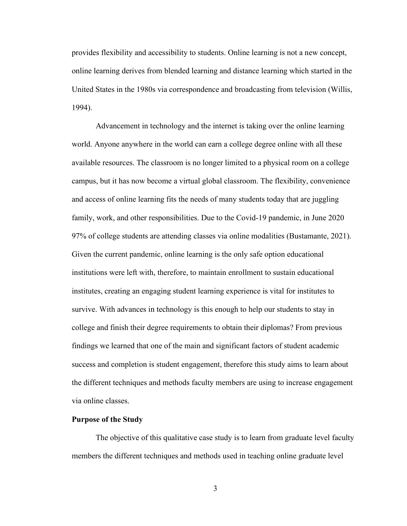provides flexibility and accessibility to students. Online learning is not a new concept, online learning derives from blended learning and distance learning which started in the United States in the 1980s via correspondence and broadcasting from television (Willis, 1994).

Advancement in technology and the internet is taking over the online learning world. Anyone anywhere in the world can earn a college degree online with all these available resources. The classroom is no longer limited to a physical room on a college campus, but it has now become a virtual global classroom. The flexibility, convenience and access of online learning fits the needs of many students today that are juggling family, work, and other responsibilities. Due to the Covid-19 pandemic, in June 2020 97% of college students are attending classes via online modalities (Bustamante, 2021). Given the current pandemic, online learning is the only safe option educational institutions were left with, therefore, to maintain enrollment to sustain educational institutes, creating an engaging student learning experience is vital for institutes to survive. With advances in technology is this enough to help our students to stay in college and finish their degree requirements to obtain their diplomas? From previous findings we learned that one of the main and significant factors of student academic success and completion is student engagement, therefore this study aims to learn about the different techniques and methods faculty members are using to increase engagement via online classes.

# <span id="page-13-0"></span>**Purpose of the Study**

The objective of this qualitative case study is to learn from graduate level faculty members the different techniques and methods used in teaching online graduate level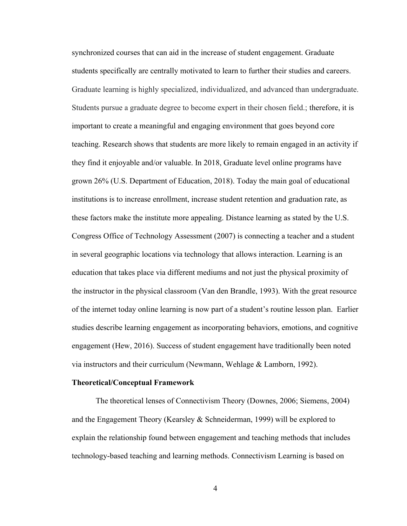synchronized courses that can aid in the increase of student engagement. Graduate students specifically are centrally motivated to learn to further their studies and careers. Graduate learning is highly specialized, individualized, and advanced than undergraduate. Students pursue a graduate degree to become expert in their chosen field.; therefore, it is important to create a meaningful and engaging environment that goes beyond core teaching. Research shows that students are more likely to remain engaged in an activity if they find it enjoyable and/or valuable. In 2018, Graduate level online programs have grown 26% (U.S. Department of Education, 2018). Today the main goal of educational institutions is to increase enrollment, increase student retention and graduation rate, as these factors make the institute more appealing. Distance learning as stated by the U.S. Congress Office of Technology Assessment (2007) is connecting a teacher and a student in several geographic locations via technology that allows interaction. Learning is an education that takes place via different mediums and not just the physical proximity of the instructor in the physical classroom (Van den Brandle, 1993). With the great resource of the internet today online learning is now part of a student's routine lesson plan. Earlier studies describe learning engagement as incorporating behaviors, emotions, and cognitive engagement (Hew, 2016). Success of student engagement have traditionally been noted via instructors and their curriculum (Newmann, Wehlage & Lamborn, 1992).

#### <span id="page-14-0"></span>**Theoretical/Conceptual Framework**

The theoretical lenses of Connectivism Theory (Downes, 2006; Siemens, 2004) and the Engagement Theory (Kearsley & Schneiderman, 1999) will be explored to explain the relationship found between engagement and teaching methods that includes technology-based teaching and learning methods. Connectivism Learning is based on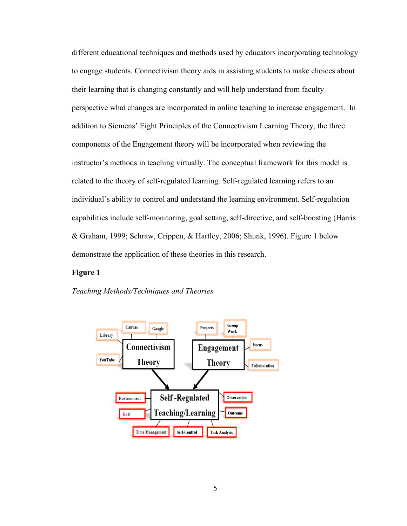different educational techniques and methods used by educators incorporating technology to engage students. Connectivism theory aids in assisting students to make choices about their learning that is changing constantly and will help understand from faculty perspective what changes are incorporated in online teaching to increase engagement. In addition to Siemens' Eight Principles of the Connectivism Learning Theory, the three components of the Engagement theory will be incorporated when reviewing the instructor's methods in teaching virtually. The conceptual framework for this model is related to the theory of self-regulated learning. Self-regulated learning refers to an individual's ability to control and understand the learning environment. Self-regulation capabilities include self-monitoring, goal setting, self-directive, and self-boosting (Harris & Graham, 1999; Schraw, Crippen, & Hartley, 2006; Shunk, 1996). Figure 1 below demonstrate the application of these theories in this research.

# **Figure 1**

*Teaching Methods/Techniques and Theories*

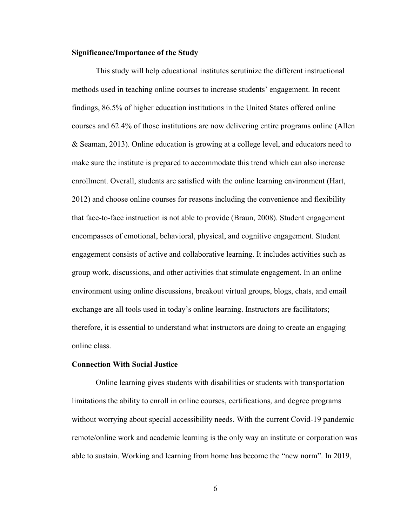### <span id="page-16-0"></span>**Significance/Importance of the Study**

This study will help educational institutes scrutinize the different instructional methods used in teaching online courses to increase students' engagement. In recent findings, 86.5% of higher education institutions in the United States offered online courses and 62.4% of those institutions are now delivering entire programs online (Allen & Seaman, 2013). Online education is growing at a college level, and educators need to make sure the institute is prepared to accommodate this trend which can also increase enrollment. Overall, students are satisfied with the online learning environment (Hart, 2012) and choose online courses for reasons including the convenience and flexibility that face-to-face instruction is not able to provide (Braun, 2008). Student engagement encompasses of emotional, behavioral, physical, and cognitive engagement. Student engagement consists of active and collaborative learning. It includes activities such as group work, discussions, and other activities that stimulate engagement. In an online environment using online discussions, breakout virtual groups, blogs, chats, and email exchange are all tools used in today's online learning. Instructors are facilitators; therefore, it is essential to understand what instructors are doing to create an engaging online class.

# <span id="page-16-1"></span>**Connection With Social Justice**

Online learning gives students with disabilities or students with transportation limitations the ability to enroll in online courses, certifications, and degree programs without worrying about special accessibility needs. With the current Covid-19 pandemic remote/online work and academic learning is the only way an institute or corporation was able to sustain. Working and learning from home has become the "new norm". In 2019,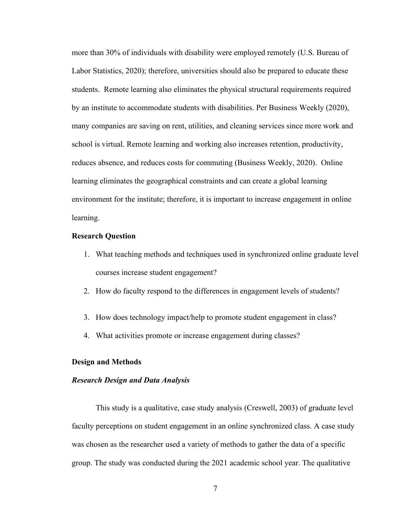more than 30% of individuals with disability were employed remotely (U.S. Bureau of Labor Statistics, 2020); therefore, universities should also be prepared to educate these students. Remote learning also eliminates the physical structural requirements required by an institute to accommodate students with disabilities. Per Business Weekly (2020), many companies are saving on rent, utilities, and cleaning services since more work and school is virtual. Remote learning and working also increases retention, productivity, reduces absence, and reduces costs for commuting (Business Weekly, 2020). Online learning eliminates the geographical constraints and can create a global learning environment for the institute; therefore, it is important to increase engagement in online learning.

#### <span id="page-17-0"></span>**Research Question**

- 1. What teaching methods and techniques used in synchronized online graduate level courses increase student engagement?
- 2. How do faculty respond to the differences in engagement levels of students?
- 3. How does technology impact/help to promote student engagement in class?
- 4. What activities promote or increase engagement during classes?

# <span id="page-17-1"></span>**Design and Methods**

### *Research Design and Data Analysis*

This study is a qualitative, case study analysis (Creswell, 2003) of graduate level faculty perceptions on student engagement in an online synchronized class. A case study was chosen as the researcher used a variety of methods to gather the data of a specific group. The study was conducted during the 2021 academic school year. The qualitative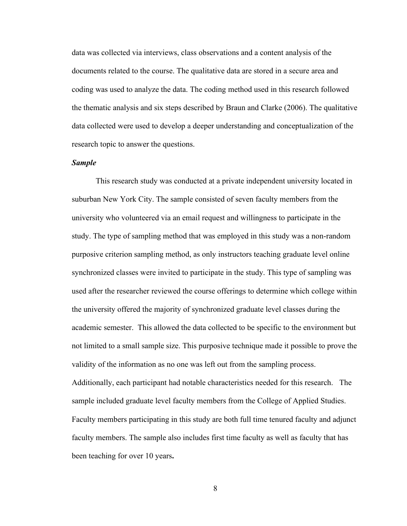data was collected via interviews, class observations and a content analysis of the documents related to the course. The qualitative data are stored in a secure area and coding was used to analyze the data. The coding method used in this research followed the thematic analysis and six steps described by Braun and Clarke (2006). The qualitative data collected were used to develop a deeper understanding and conceptualization of the research topic to answer the questions.

# *Sample*

This research study was conducted at a private independent university located in suburban New York City. The sample consisted of seven faculty members from the university who volunteered via an email request and willingness to participate in the study. The type of sampling method that was employed in this study was a non-random purposive criterion sampling method, as only instructors teaching graduate level online synchronized classes were invited to participate in the study. This type of sampling was used after the researcher reviewed the course offerings to determine which college within the university offered the majority of synchronized graduate level classes during the academic semester. This allowed the data collected to be specific to the environment but not limited to a small sample size. This purposive technique made it possible to prove the validity of the information as no one was left out from the sampling process. Additionally, each participant had notable characteristics needed for this research. The sample included graduate level faculty members from the College of Applied Studies. Faculty members participating in this study are both full time tenured faculty and adjunct faculty members. The sample also includes first time faculty as well as faculty that has been teaching for over 10 years**.**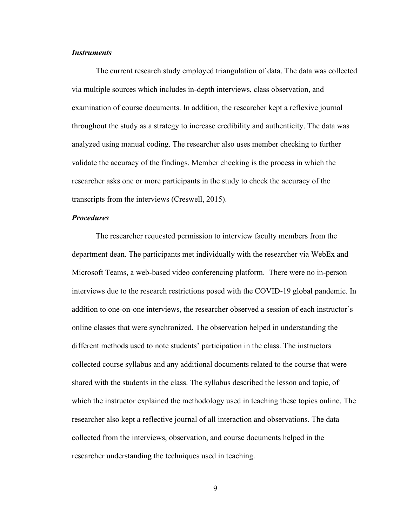# *Instruments*

The current research study employed triangulation of data. The data was collected via multiple sources which includes in-depth interviews, class observation, and examination of course documents. In addition, the researcher kept a reflexive journal throughout the study as a strategy to increase credibility and authenticity. The data was analyzed using manual coding. The researcher also uses member checking to further validate the accuracy of the findings. Member checking is the process in which the researcher asks one or more participants in the study to check the accuracy of the transcripts from the interviews (Creswell, 2015).

# *Procedures*

The researcher requested permission to interview faculty members from the department dean. The participants met individually with the researcher via WebEx and Microsoft Teams, a web-based video conferencing platform. There were no in-person interviews due to the research restrictions posed with the COVID-19 global pandemic. In addition to one-on-one interviews, the researcher observed a session of each instructor's online classes that were synchronized. The observation helped in understanding the different methods used to note students' participation in the class. The instructors collected course syllabus and any additional documents related to the course that were shared with the students in the class. The syllabus described the lesson and topic, of which the instructor explained the methodology used in teaching these topics online. The researcher also kept a reflective journal of all interaction and observations. The data collected from the interviews, observation, and course documents helped in the researcher understanding the techniques used in teaching.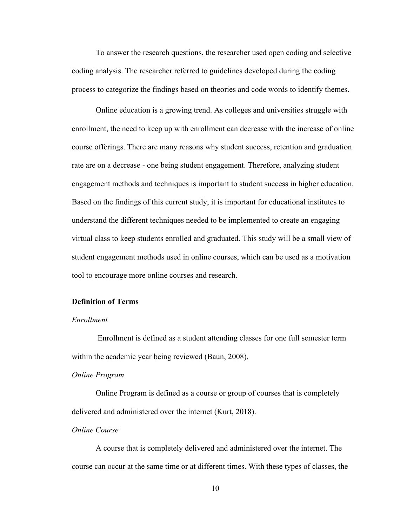To answer the research questions, the researcher used open coding and selective coding analysis. The researcher referred to guidelines developed during the coding process to categorize the findings based on theories and code words to identify themes.

Online education is a growing trend. As colleges and universities struggle with enrollment, the need to keep up with enrollment can decrease with the increase of online course offerings. There are many reasons why student success, retention and graduation rate are on a decrease - one being student engagement. Therefore, analyzing student engagement methods and techniques is important to student success in higher education. Based on the findings of this current study, it is important for educational institutes to understand the different techniques needed to be implemented to create an engaging virtual class to keep students enrolled and graduated. This study will be a small view of student engagement methods used in online courses, which can be used as a motivation tool to encourage more online courses and research.

# <span id="page-20-0"></span>**Definition of Terms**

# *Enrollment*

Enrollment is defined as a student attending classes for one full semester term within the academic year being reviewed (Baun, 2008).

# *Online Program*

Online Program is defined as a course or group of courses that is completely delivered and administered over the internet (Kurt, 2018).

# *Online Course*

A course that is completely delivered and administered over the internet. The course can occur at the same time or at different times. With these types of classes, the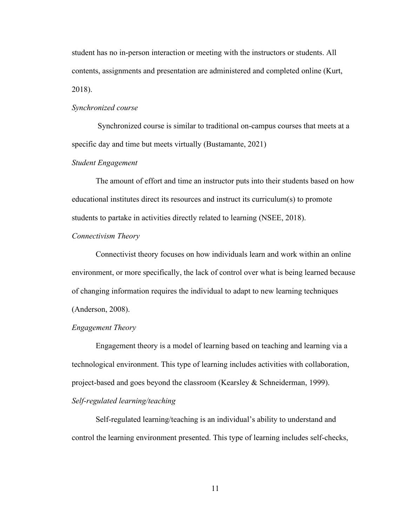student has no in-person interaction or meeting with the instructors or students. All contents, assignments and presentation are administered and completed online (Kurt, 2018).

# *Synchronized course*

Synchronized course is similar to traditional on-campus courses that meets at a specific day and time but meets virtually (Bustamante, 2021)

# *Student Engagement*

The amount of effort and time an instructor puts into their students based on how educational institutes direct its resources and instruct its curriculum(s) to promote students to partake in activities directly related to learning (NSEE, 2018).

#### *Connectivism Theory*

Connectivist theory focuses on how individuals learn and work within an online environment, or more specifically, the lack of control over what is being learned because of changing information requires the individual to adapt to new learning techniques (Anderson, 2008).

#### *Engagement Theory*

Engagement theory is a model of learning based on teaching and learning via a technological environment. This type of learning includes activities with collaboration, project-based and goes beyond the classroom (Kearsley & Schneiderman, 1999). *Self-regulated learning/teaching*

Self-regulated learning/teaching is an individual's ability to understand and control the learning environment presented. This type of learning includes self-checks,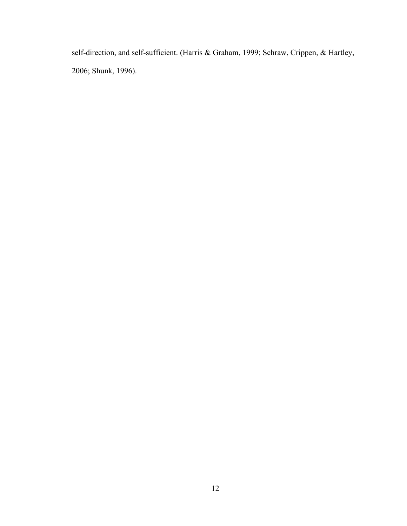self-direction, and self-sufficient. (Harris & Graham, 1999; Schraw, Crippen, & Hartley, 2006; Shunk, 1996).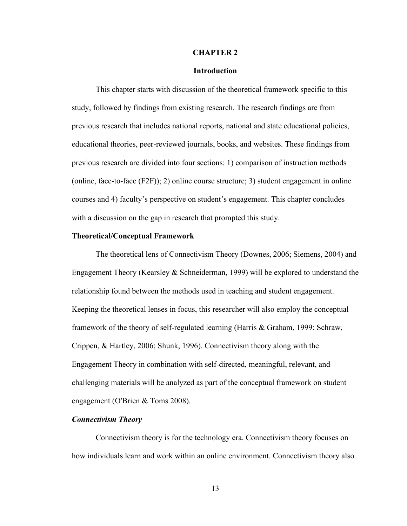# **CHAPTER 2**

# **Introduction**

<span id="page-23-1"></span><span id="page-23-0"></span>This chapter starts with discussion of the theoretical framework specific to this study, followed by findings from existing research. The research findings are from previous research that includes national reports, national and state educational policies, educational theories, peer-reviewed journals, books, and websites. These findings from previous research are divided into four sections: 1) comparison of instruction methods (online, face-to-face (F2F)); 2) online course structure; 3) student engagement in online courses and 4) faculty's perspective on student's engagement. This chapter concludes with a discussion on the gap in research that prompted this study.

#### <span id="page-23-2"></span>**Theoretical/Conceptual Framework**

The theoretical lens of Connectivism Theory (Downes, 2006; Siemens, 2004) and Engagement Theory (Kearsley & Schneiderman, 1999) will be explored to understand the relationship found between the methods used in teaching and student engagement. Keeping the theoretical lenses in focus, this researcher will also employ the conceptual framework of the theory of self-regulated learning (Harris & Graham, 1999; Schraw, Crippen, & Hartley, 2006; Shunk, 1996). Connectivism theory along with the Engagement Theory in combination with self-directed, meaningful, relevant, and challenging materials will be analyzed as part of the conceptual framework on student engagement (O'Brien & Toms 2008).

# *Connectivism Theory*

Connectivism theory is for the technology era. Connectivism theory focuses on how individuals learn and work within an online environment. Connectivism theory also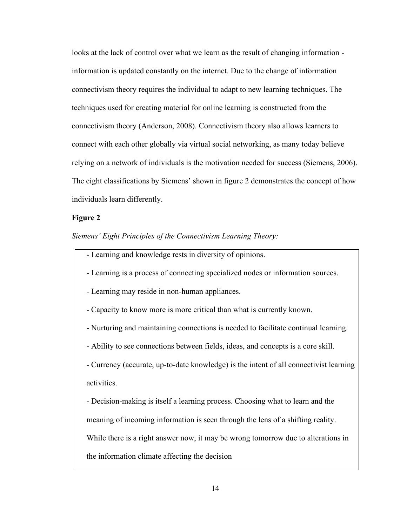looks at the lack of control over what we learn as the result of changing information information is updated constantly on the internet. Due to the change of information connectivism theory requires the individual to adapt to new learning techniques. The techniques used for creating material for online learning is constructed from the connectivism theory (Anderson, 2008). Connectivism theory also allows learners to connect with each other globally via virtual social networking, as many today believe relying on a network of individuals is the motivation needed for success (Siemens, 2006). The eight classifications by Siemens' shown in figure 2 demonstrates the concept of how individuals learn differently.

### **Figure 2**

*Siemens' Eight Principles of the Connectivism Learning Theory:* 

- Learning and knowledge rests in diversity of opinions.
- Learning is a process of connecting specialized nodes or information sources.
- Learning may reside in non-human appliances.
- Capacity to know more is more critical than what is currently known.
- Nurturing and maintaining connections is needed to facilitate continual learning.
- Ability to see connections between fields, ideas, and concepts is a core skill.

- Currency (accurate, up-to-date knowledge) is the intent of all connectivist learning activities.

- Decision-making is itself a learning process. Choosing what to learn and the

meaning of incoming information is seen through the lens of a shifting reality.

While there is a right answer now, it may be wrong tomorrow due to alterations in

the information climate affecting the decision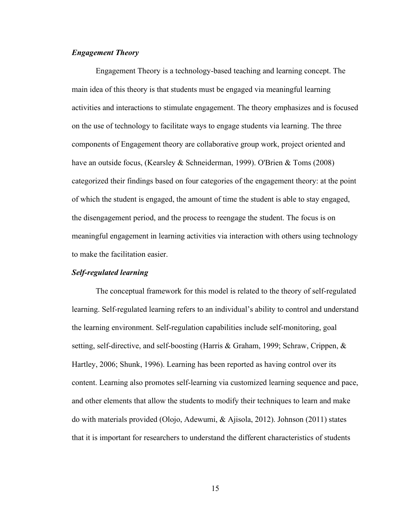# *Engagement Theory*

Engagement Theory is a technology-based teaching and learning concept. The main idea of this theory is that students must be engaged via meaningful learning activities and interactions to stimulate engagement. The theory emphasizes and is focused on the use of technology to facilitate ways to engage students via learning. The three components of Engagement theory are collaborative group work, project oriented and have an outside focus, (Kearsley & Schneiderman, 1999). O'Brien & Toms (2008) categorized their findings based on four categories of the engagement theory: at the point of which the student is engaged, the amount of time the student is able to stay engaged, the disengagement period, and the process to reengage the student. The focus is on meaningful engagement in learning activities via interaction with others using technology to make the facilitation easier.

# *Self-regulated learning*

The conceptual framework for this model is related to the theory of self-regulated learning. Self-regulated learning refers to an individual's ability to control and understand the learning environment. Self-regulation capabilities include self-monitoring, goal setting, self-directive, and self-boosting (Harris & Graham, 1999; Schraw, Crippen, & Hartley, 2006; Shunk, 1996). Learning has been reported as having control over its content. Learning also promotes self-learning via customized learning sequence and pace, and other elements that allow the students to modify their techniques to learn and make do with materials provided (Olojo, Adewumi, & Ajisola, 2012). Johnson (2011) states that it is important for researchers to understand the different characteristics of students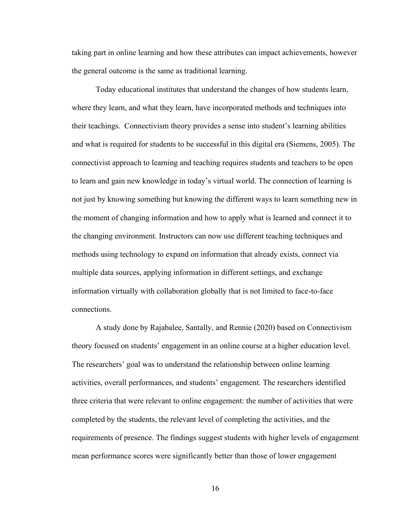taking part in online learning and how these attributes can impact achievements, however the general outcome is the same as traditional learning.

Today educational institutes that understand the changes of how students learn, where they learn, and what they learn, have incorporated methods and techniques into their teachings. Connectivism theory provides a sense into student's learning abilities and what is required for students to be successful in this digital era (Siemens, 2005). The connectivist approach to learning and teaching requires students and teachers to be open to learn and gain new knowledge in today's virtual world. The connection of learning is not just by knowing something but knowing the different ways to learn something new in the moment of changing information and how to apply what is learned and connect it to the changing environment. Instructors can now use different teaching techniques and methods using technology to expand on information that already exists, connect via multiple data sources, applying information in different settings, and exchange information virtually with collaboration globally that is not limited to face-to-face connections.

A study done by Rajabalee, Santally, and Rennie (2020) based on Connectivism theory focused on students' engagement in an online course at a higher education level. The researchers' goal was to understand the relationship between online learning activities, overall performances, and students' engagement. The researchers identified three criteria that were relevant to online engagement: the number of activities that were completed by the students, the relevant level of completing the activities, and the requirements of presence. The findings suggest students with higher levels of engagement mean performance scores were significantly better than those of lower engagement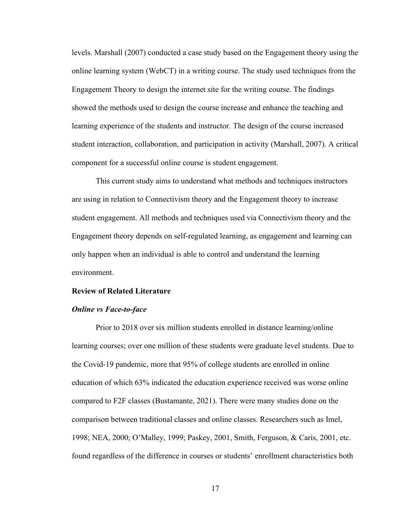levels. Marshall (2007) conducted a case study based on the Engagement theory using the online learning system (WebCT) in a writing course. The study used techniques from the Engagement Theory to design the internet site for the writing course. The findings showed the methods used to design the course increase and enhance the teaching and learning experience of the students and instructor. The design of the course increased student interaction, collaboration, and participation in activity (Marshall, 2007). A critical component for a successful online course is student engagement.

This current study aims to understand what methods and techniques instructors are using in relation to Connectivism theory and the Engagement theory to increase student engagement. All methods and techniques used via Connectivism theory and the Engagement theory depends on self-regulated learning, as engagement and learning can only happen when an individual is able to control and understand the learning environment.

### <span id="page-27-0"></span>**Review of Related Literature**

#### *Online vs Face-to-face*

Prior to 2018 over six million students enrolled in distance learning/online learning courses; over one million of these students were graduate level students. Due to the Covid-19 pandemic, more that 95% of college students are enrolled in online education of which 63% indicated the education experience received was worse online compared to F2F classes (Bustamante, 2021). There were many studies done on the comparison between traditional classes and online classes. Researchers such as Imel, 1998; NEA, 2000; O'Malley, 1999; Paskey, 2001, Smith, Ferguson, & Caris, 2001, etc. found regardless of the difference in courses or students' enrollment characteristics both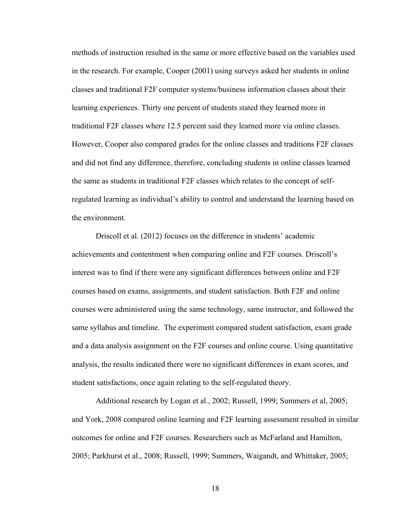methods of instruction resulted in the same or more effective based on the variables used in the research. For example, Cooper (2001) using surveys asked her students in online classes and traditional F2F computer systems/business information classes about their learning experiences. Thirty one percent of students stated they learned more in traditional F2F classes where 12.5 percent said they learned more via online classes. However, Cooper also compared grades for the online classes and traditions F2F classes and did not find any difference, therefore, concluding students in online classes learned the same as students in traditional F2F classes which relates to the concept of selfregulated learning as individual's ability to control and understand the learning based on the environment.

Driscoll et al. (2012) focuses on the difference in students' academic achievements and contentment when comparing online and F2F courses. Driscoll's interest was to find if there were any significant differences between online and F2F courses based on exams, assignments, and student satisfaction. Both F2F and online courses were administered using the same technology, same instructor, and followed the same syllabus and timeline. The experiment compared student satisfaction, exam grade and a data analysis assignment on the F2F courses and online course. Using quantitative analysis, the results indicated there were no significant differences in exam scores, and student satisfactions, once again relating to the self-regulated theory.

Additional research by Logan et al., 2002; Russell, 1999; Summers et al, 2005; and York, 2008 compared online learning and F2F learning assessment resulted in similar outcomes for online and F2F courses. Researchers such as McFarland and Hamilton, 2005; Parkhurst et al., 2008; Russell, 1999; Summers, Waigandt, and Whittaker, 2005;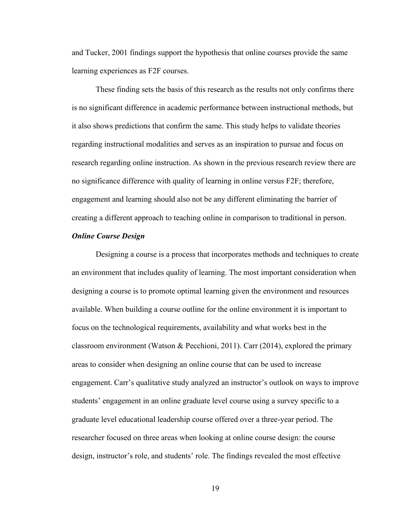and Tucker, 2001 findings support the hypothesis that online courses provide the same learning experiences as F2F courses.

These finding sets the basis of this research as the results not only confirms there is no significant difference in academic performance between instructional methods, but it also shows predictions that confirm the same. This study helps to validate theories regarding instructional modalities and serves as an inspiration to pursue and focus on research regarding online instruction. As shown in the previous research review there are no significance difference with quality of learning in online versus F2F; therefore, engagement and learning should also not be any different eliminating the barrier of creating a different approach to teaching online in comparison to traditional in person.

#### *Online Course Design*

Designing a course is a process that incorporates methods and techniques to create an environment that includes quality of learning. The most important consideration when designing a course is to promote optimal learning given the environment and resources available. When building a course outline for the online environment it is important to focus on the technological requirements, availability and what works best in the classroom environment (Watson & Pecchioni, 2011). Carr (2014), explored the primary areas to consider when designing an online course that can be used to increase engagement. Carr's qualitative study analyzed an instructor's outlook on ways to improve students' engagement in an online graduate level course using a survey specific to a graduate level educational leadership course offered over a three-year period. The researcher focused on three areas when looking at online course design: the course design, instructor's role, and students' role. The findings revealed the most effective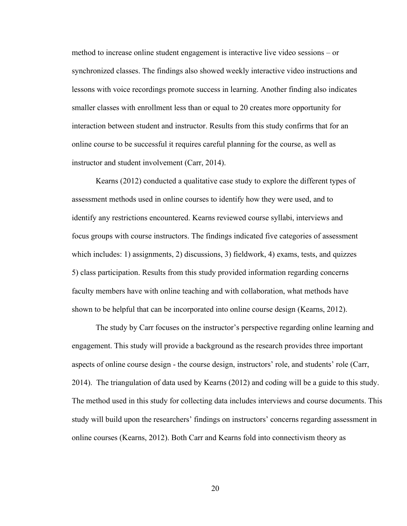method to increase online student engagement is interactive live video sessions – or synchronized classes. The findings also showed weekly interactive video instructions and lessons with voice recordings promote success in learning. Another finding also indicates smaller classes with enrollment less than or equal to 20 creates more opportunity for interaction between student and instructor. Results from this study confirms that for an online course to be successful it requires careful planning for the course, as well as instructor and student involvement (Carr, 2014).

Kearns (2012) conducted a qualitative case study to explore the different types of assessment methods used in online courses to identify how they were used, and to identify any restrictions encountered. Kearns reviewed course syllabi, interviews and focus groups with course instructors. The findings indicated five categories of assessment which includes: 1) assignments, 2) discussions, 3) fieldwork, 4) exams, tests, and quizzes 5) class participation. Results from this study provided information regarding concerns faculty members have with online teaching and with collaboration, what methods have shown to be helpful that can be incorporated into online course design (Kearns, 2012).

The study by Carr focuses on the instructor's perspective regarding online learning and engagement. This study will provide a background as the research provides three important aspects of online course design - the course design, instructors' role, and students' role (Carr, 2014). The triangulation of data used by Kearns (2012) and coding will be a guide to this study. The method used in this study for collecting data includes interviews and course documents. This study will build upon the researchers' findings on instructors' concerns regarding assessment in online courses (Kearns, 2012). Both Carr and Kearns fold into connectivism theory as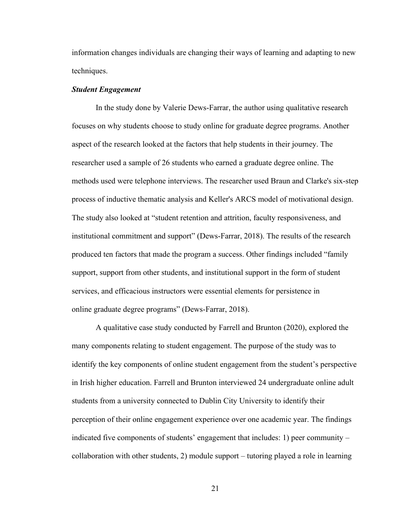information changes individuals are changing their ways of learning and adapting to new techniques.

# *Student Engagement*

In the study done by Valerie Dews-Farrar, the author using qualitative research focuses on why students choose to study online for graduate degree programs. Another aspect of the research looked at the factors that help students in their journey. The researcher used a sample of 26 students who earned a graduate degree online. The methods used were telephone interviews. The researcher used Braun and Clarke's six-step process of inductive thematic analysis and Keller's ARCS model of motivational design. The study also looked at "student retention and attrition, faculty responsiveness, and institutional commitment and support" (Dews-Farrar, 2018). The results of the research produced ten factors that made the program a success. Other findings included "family support, support from other students, and institutional support in the form of student services, and efficacious instructors were essential elements for persistence in online graduate degree programs" (Dews-Farrar, 2018).

A qualitative case study conducted by Farrell and Brunton (2020), explored the many components relating to student engagement. The purpose of the study was to identify the key components of online student engagement from the student's perspective in Irish higher education. Farrell and Brunton interviewed 24 undergraduate online adult students from a university connected to Dublin City University to identify their perception of their online engagement experience over one academic year. The findings indicated five components of students' engagement that includes: 1) peer community – collaboration with other students, 2) module support – tutoring played a role in learning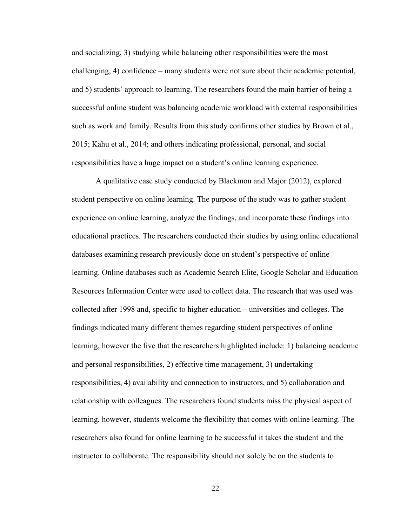and socializing, 3) studying while balancing other responsibilities were the most challenging, 4) confidence – many students were not sure about their academic potential, and 5) students' approach to learning. The researchers found the main barrier of being a successful online student was balancing academic workload with external responsibilities such as work and family. Results from this study confirms other studies by Brown et al., 2015; Kahu et al., 2014; and others indicating professional, personal, and social responsibilities have a huge impact on a student's online learning experience.

A qualitative case study conducted by Blackmon and Major (2012), explored student perspective on online learning. The purpose of the study was to gather student experience on online learning, analyze the findings, and incorporate these findings into educational practices. The researchers conducted their studies by using online educational databases examining research previously done on student's perspective of online learning. Online databases such as Academic Search Elite, Google Scholar and Education Resources Information Center were used to collect data. The research that was used was collected after 1998 and, specific to higher education – universities and colleges. The findings indicated many different themes regarding student perspectives of online learning, however the five that the researchers highlighted include: 1) balancing academic and personal responsibilities, 2) effective time management, 3) undertaking responsibilities, 4) availability and connection to instructors, and 5) collaboration and relationship with colleagues. The researchers found students miss the physical aspect of learning, however, students welcome the flexibility that comes with online learning. The researchers also found for online learning to be successful it takes the student and the instructor to collaborate. The responsibility should not solely be on the students to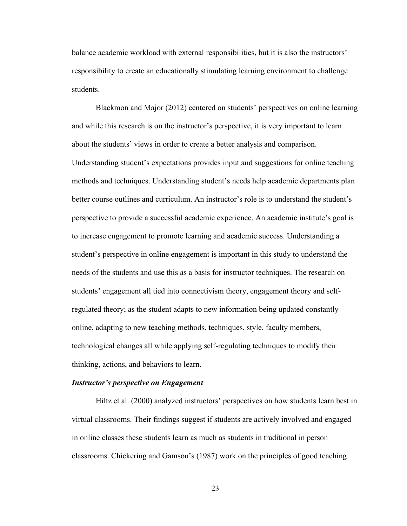balance academic workload with external responsibilities, but it is also the instructors' responsibility to create an educationally stimulating learning environment to challenge students.

Blackmon and Major (2012) centered on students' perspectives on online learning and while this research is on the instructor's perspective, it is very important to learn about the students' views in order to create a better analysis and comparison. Understanding student's expectations provides input and suggestions for online teaching methods and techniques. Understanding student's needs help academic departments plan better course outlines and curriculum. An instructor's role is to understand the student's perspective to provide a successful academic experience. An academic institute's goal is to increase engagement to promote learning and academic success. Understanding a student's perspective in online engagement is important in this study to understand the needs of the students and use this as a basis for instructor techniques. The research on students' engagement all tied into connectivism theory, engagement theory and selfregulated theory; as the student adapts to new information being updated constantly online, adapting to new teaching methods, techniques, style, faculty members, technological changes all while applying self-regulating techniques to modify their thinking, actions, and behaviors to learn.

## *Instructor's perspective on Engagement*

Hiltz et al. (2000) analyzed instructors' perspectives on how students learn best in virtual classrooms. Their findings suggest if students are actively involved and engaged in online classes these students learn as much as students in traditional in person classrooms. Chickering and Gamson's (1987) work on the principles of good teaching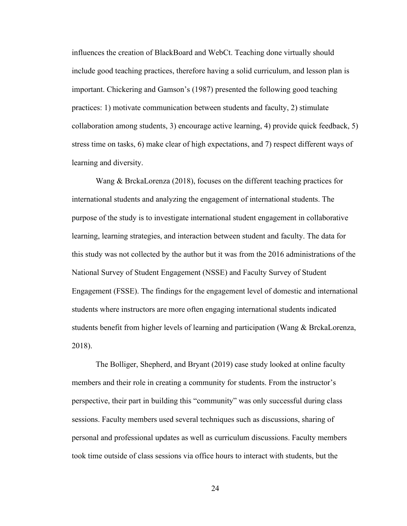influences the creation of BlackBoard and WebCt. Teaching done virtually should include good teaching practices, therefore having a solid curriculum, and lesson plan is important. Chickering and Gamson's (1987) presented the following good teaching practices: 1) motivate communication between students and faculty, 2) stimulate collaboration among students, 3) encourage active learning, 4) provide quick feedback, 5) stress time on tasks, 6) make clear of high expectations, and 7) respect different ways of learning and diversity.

Wang & BrckaLorenza (2018), focuses on the different teaching practices for international students and analyzing the engagement of international students. The purpose of the study is to investigate international student engagement in collaborative learning, learning strategies, and interaction between student and faculty. The data for this study was not collected by the author but it was from the 2016 administrations of the National Survey of Student Engagement (NSSE) and Faculty Survey of Student Engagement (FSSE). The findings for the engagement level of domestic and international students where instructors are more often engaging international students indicated students benefit from higher levels of learning and participation (Wang & BrckaLorenza, 2018).

The Bolliger, Shepherd, and Bryant (2019) case study looked at online faculty members and their role in creating a community for students. From the instructor's perspective, their part in building this "community" was only successful during class sessions. Faculty members used several techniques such as discussions, sharing of personal and professional updates as well as curriculum discussions. Faculty members took time outside of class sessions via office hours to interact with students, but the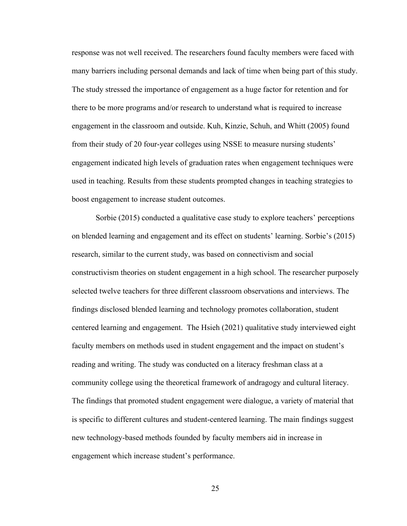response was not well received. The researchers found faculty members were faced with many barriers including personal demands and lack of time when being part of this study. The study stressed the importance of engagement as a huge factor for retention and for there to be more programs and/or research to understand what is required to increase engagement in the classroom and outside. Kuh, Kinzie, Schuh, and Whitt (2005) found from their study of 20 four-year colleges using NSSE to measure nursing students' engagement indicated high levels of graduation rates when engagement techniques were used in teaching. Results from these students prompted changes in teaching strategies to boost engagement to increase student outcomes.

Sorbie (2015) conducted a qualitative case study to explore teachers' perceptions on blended learning and engagement and its effect on students' learning. Sorbie's (2015) research, similar to the current study, was based on connectivism and social constructivism theories on student engagement in a high school. The researcher purposely selected twelve teachers for three different classroom observations and interviews. The findings disclosed blended learning and technology promotes collaboration, student centered learning and engagement. The Hsieh (2021) qualitative study interviewed eight faculty members on methods used in student engagement and the impact on student's reading and writing. The study was conducted on a literacy freshman class at a community college using the theoretical framework of andragogy and cultural literacy. The findings that promoted student engagement were dialogue, a variety of material that is specific to different cultures and student-centered learning. The main findings suggest new technology-based methods founded by faculty members aid in increase in engagement which increase student's performance.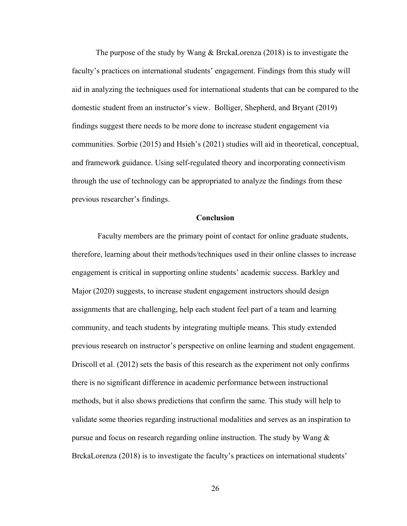The purpose of the study by Wang  $\&$  BrckaLorenza (2018) is to investigate the faculty's practices on international students' engagement. Findings from this study will aid in analyzing the techniques used for international students that can be compared to the domestic student from an instructor's view. Bolliger, Shepherd, and Bryant (2019) findings suggest there needs to be more done to increase student engagement via communities. Sorbie (2015) and Hsieh's (2021) studies will aid in theoretical, conceptual, and framework guidance. Using self-regulated theory and incorporating connectivism through the use of technology can be appropriated to analyze the findings from these previous researcher's findings.

## **Conclusion**

Faculty members are the primary point of contact for online graduate students, therefore, learning about their methods/techniques used in their online classes to increase engagement is critical in supporting online students' academic success. Barkley and Major (2020) suggests, to increase student engagement instructors should design assignments that are challenging, help each student feel part of a team and learning community, and teach students by integrating multiple means. This study extended previous research on instructor's perspective on online learning and student engagement. Driscoll et al. (2012) sets the basis of this research as the experiment not only confirms there is no significant difference in academic performance between instructional methods, but it also shows predictions that confirm the same. This study will help to validate some theories regarding instructional modalities and serves as an inspiration to pursue and focus on research regarding online instruction. The study by Wang  $\&$ BrckaLorenza (2018) is to investigate the faculty's practices on international students'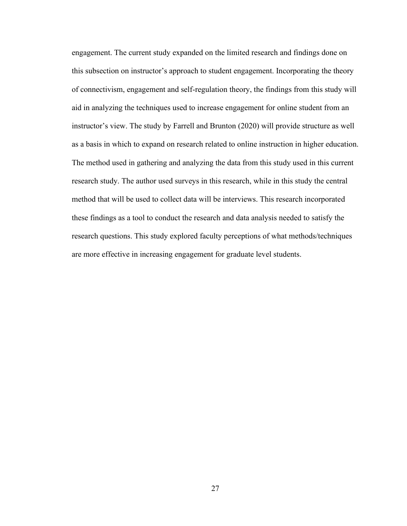engagement. The current study expanded on the limited research and findings done on this subsection on instructor's approach to student engagement. Incorporating the theory of connectivism, engagement and self-regulation theory, the findings from this study will aid in analyzing the techniques used to increase engagement for online student from an instructor's view. The study by Farrell and Brunton (2020) will provide structure as well as a basis in which to expand on research related to online instruction in higher education. The method used in gathering and analyzing the data from this study used in this current research study. The author used surveys in this research, while in this study the central method that will be used to collect data will be interviews. This research incorporated these findings as a tool to conduct the research and data analysis needed to satisfy the research questions. This study explored faculty perceptions of what methods/techniques are more effective in increasing engagement for graduate level students.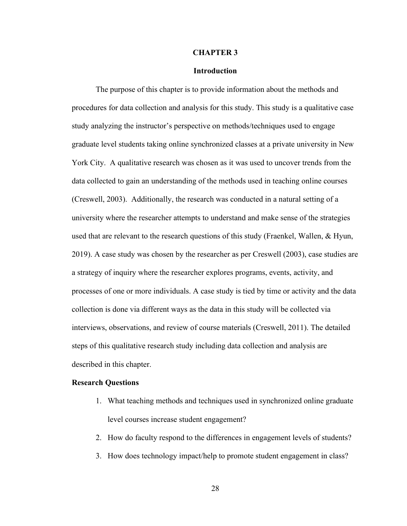### **CHAPTER 3**

## **Introduction**

The purpose of this chapter is to provide information about the methods and procedures for data collection and analysis for this study. This study is a qualitative case study analyzing the instructor's perspective on methods/techniques used to engage graduate level students taking online synchronized classes at a private university in New York City. A qualitative research was chosen as it was used to uncover trends from the data collected to gain an understanding of the methods used in teaching online courses (Creswell, 2003). Additionally, the research was conducted in a natural setting of a university where the researcher attempts to understand and make sense of the strategies used that are relevant to the research questions of this study (Fraenkel, Wallen, & Hyun, 2019). A case study was chosen by the researcher as per Creswell (2003), case studies are a strategy of inquiry where the researcher explores programs, events, activity, and processes of one or more individuals. A case study is tied by time or activity and the data collection is done via different ways as the data in this study will be collected via interviews, observations, and review of course materials (Creswell, 2011). The detailed steps of this qualitative research study including data collection and analysis are described in this chapter.

#### **Research Questions**

- 1. What teaching methods and techniques used in synchronized online graduate level courses increase student engagement?
- 2. How do faculty respond to the differences in engagement levels of students?
- 3. How does technology impact/help to promote student engagement in class?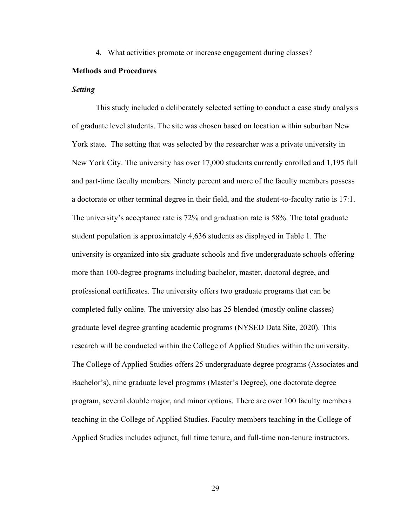4. What activities promote or increase engagement during classes?

## **Methods and Procedures**

### *Setting*

This study included a deliberately selected setting to conduct a case study analysis of graduate level students. The site was chosen based on location within suburban New York state. The setting that was selected by the researcher was a private university in New York City. The university has over 17,000 students currently enrolled and 1,195 full and part-time faculty members. Ninety percent and more of the faculty members possess a doctorate or other terminal degree in their field, and the student-to-faculty ratio is 17:1. The university's acceptance rate is 72% and graduation rate is 58%. The total graduate student population is approximately 4,636 students as displayed in Table 1. The university is organized into six graduate schools and five undergraduate schools offering more than 100-degree programs including bachelor, master, doctoral degree, and professional certificates. The university offers two graduate programs that can be completed fully online. The university also has 25 blended (mostly online classes) graduate level degree granting academic programs (NYSED Data Site, 2020). This research will be conducted within the College of Applied Studies within the university. The College of Applied Studies offers 25 undergraduate degree programs (Associates and Bachelor's), nine graduate level programs (Master's Degree), one doctorate degree program, several double major, and minor options. There are over 100 faculty members teaching in the College of Applied Studies. Faculty members teaching in the College of Applied Studies includes adjunct, full time tenure, and full-time non-tenure instructors.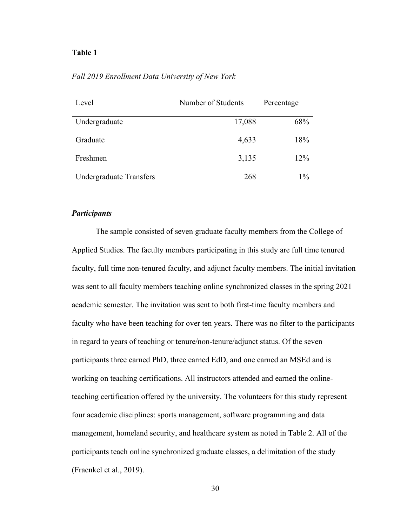## **Table 1**

| Level                          | Number of Students | Percentage |
|--------------------------------|--------------------|------------|
| Undergraduate                  | 17,088             | 68%        |
| Graduate                       | 4,633              | 18%        |
| Freshmen                       | 3,135              | 12%        |
| <b>Undergraduate Transfers</b> | 268                | $1\%$      |

## *Fall 2019 Enrollment Data University of New York*

# *Participants*

The sample consisted of seven graduate faculty members from the College of Applied Studies. The faculty members participating in this study are full time tenured faculty, full time non-tenured faculty, and adjunct faculty members. The initial invitation was sent to all faculty members teaching online synchronized classes in the spring 2021 academic semester. The invitation was sent to both first-time faculty members and faculty who have been teaching for over ten years. There was no filter to the participants in regard to years of teaching or tenure/non-tenure/adjunct status. Of the seven participants three earned PhD, three earned EdD, and one earned an MSEd and is working on teaching certifications. All instructors attended and earned the onlineteaching certification offered by the university. The volunteers for this study represent four academic disciplines: sports management, software programming and data management, homeland security, and healthcare system as noted in Table 2. All of the participants teach online synchronized graduate classes, a delimitation of the study (Fraenkel et al., 2019).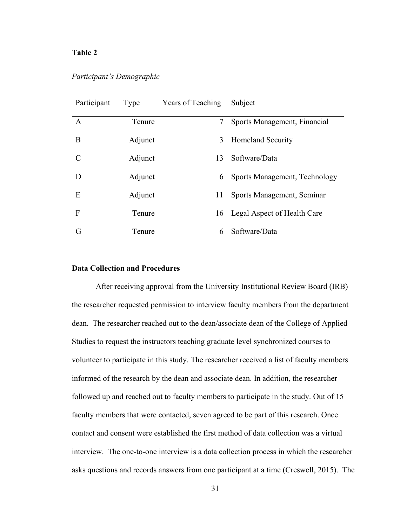## **Table 2**

| Participant | Type    | <b>Years of Teaching</b> | Subject                       |
|-------------|---------|--------------------------|-------------------------------|
| A           | Tenure  | 7                        | Sports Management, Financial  |
| B           | Adjunct | 3                        | <b>Homeland Security</b>      |
| C           | Adjunct | 13                       | Software/Data                 |
| D           | Adjunct | 6                        | Sports Management, Technology |
| E           | Adjunct | 11                       | Sports Management, Seminar    |
| F           | Tenure  | 16                       | Legal Aspect of Health Care   |
| G           | Tenure  | 6                        | Software/Data                 |

*Participant's Demographic*

# **Data Collection and Procedures**

After receiving approval from the University Institutional Review Board (IRB) the researcher requested permission to interview faculty members from the department dean. The researcher reached out to the dean/associate dean of the College of Applied Studies to request the instructors teaching graduate level synchronized courses to volunteer to participate in this study. The researcher received a list of faculty members informed of the research by the dean and associate dean. In addition, the researcher followed up and reached out to faculty members to participate in the study. Out of 15 faculty members that were contacted, seven agreed to be part of this research. Once contact and consent were established the first method of data collection was a virtual interview. The one-to-one interview is a data collection process in which the researcher asks questions and records answers from one participant at a time (Creswell, 2015). The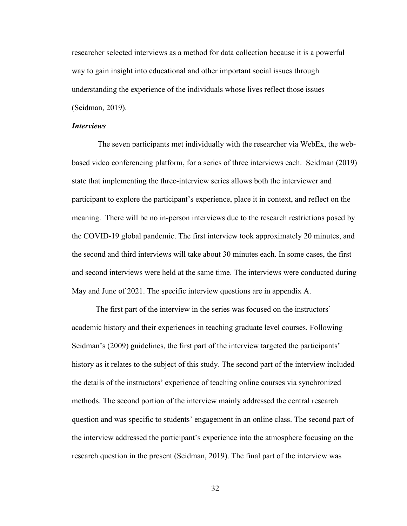researcher selected interviews as a method for data collection because it is a powerful way to gain insight into educational and other important social issues through understanding the experience of the individuals whose lives reflect those issues (Seidman, 2019).

## *Interviews*

The seven participants met individually with the researcher via WebEx, the webbased video conferencing platform, for a series of three interviews each. Seidman (2019) state that implementing the three-interview series allows both the interviewer and participant to explore the participant's experience, place it in context, and reflect on the meaning. There will be no in-person interviews due to the research restrictions posed by the COVID-19 global pandemic. The first interview took approximately 20 minutes, and the second and third interviews will take about 30 minutes each. In some cases, the first and second interviews were held at the same time. The interviews were conducted during May and June of 2021. The specific interview questions are in appendix A.

The first part of the interview in the series was focused on the instructors' academic history and their experiences in teaching graduate level courses. Following Seidman's (2009) guidelines, the first part of the interview targeted the participants' history as it relates to the subject of this study. The second part of the interview included the details of the instructors' experience of teaching online courses via synchronized methods. The second portion of the interview mainly addressed the central research question and was specific to students' engagement in an online class. The second part of the interview addressed the participant's experience into the atmosphere focusing on the research question in the present (Seidman, 2019). The final part of the interview was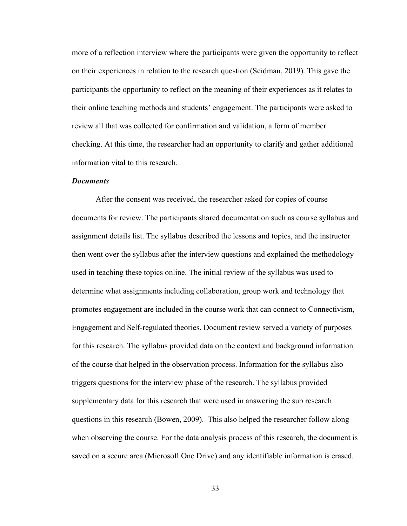more of a reflection interview where the participants were given the opportunity to reflect on their experiences in relation to the research question (Seidman, 2019). This gave the participants the opportunity to reflect on the meaning of their experiences as it relates to their online teaching methods and students' engagement. The participants were asked to review all that was collected for confirmation and validation, a form of member checking. At this time, the researcher had an opportunity to clarify and gather additional information vital to this research.

## *Documents*

After the consent was received, the researcher asked for copies of course documents for review. The participants shared documentation such as course syllabus and assignment details list. The syllabus described the lessons and topics, and the instructor then went over the syllabus after the interview questions and explained the methodology used in teaching these topics online. The initial review of the syllabus was used to determine what assignments including collaboration, group work and technology that promotes engagement are included in the course work that can connect to Connectivism, Engagement and Self-regulated theories. Document review served a variety of purposes for this research. The syllabus provided data on the context and background information of the course that helped in the observation process. Information for the syllabus also triggers questions for the interview phase of the research. The syllabus provided supplementary data for this research that were used in answering the sub research questions in this research (Bowen, 2009). This also helped the researcher follow along when observing the course. For the data analysis process of this research, the document is saved on a secure area (Microsoft One Drive) and any identifiable information is erased.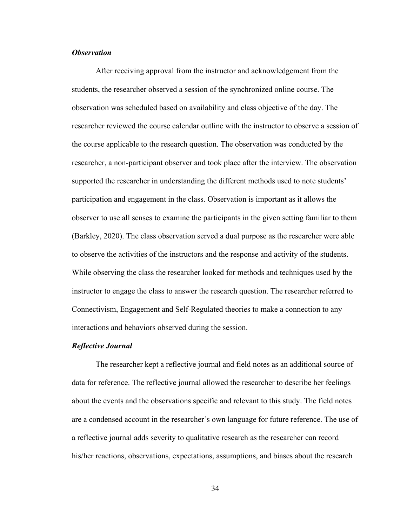## *Observation*

After receiving approval from the instructor and acknowledgement from the students, the researcher observed a session of the synchronized online course. The observation was scheduled based on availability and class objective of the day. The researcher reviewed the course calendar outline with the instructor to observe a session of the course applicable to the research question. The observation was conducted by the researcher, a non-participant observer and took place after the interview. The observation supported the researcher in understanding the different methods used to note students' participation and engagement in the class. Observation is important as it allows the observer to use all senses to examine the participants in the given setting familiar to them (Barkley, 2020). The class observation served a dual purpose as the researcher were able to observe the activities of the instructors and the response and activity of the students. While observing the class the researcher looked for methods and techniques used by the instructor to engage the class to answer the research question. The researcher referred to Connectivism, Engagement and Self-Regulated theories to make a connection to any interactions and behaviors observed during the session.

#### *Reflective Journal*

The researcher kept a reflective journal and field notes as an additional source of data for reference. The reflective journal allowed the researcher to describe her feelings about the events and the observations specific and relevant to this study. The field notes are a condensed account in the researcher's own language for future reference. The use of a reflective journal adds severity to qualitative research as the researcher can record his/her reactions, observations, expectations, assumptions, and biases about the research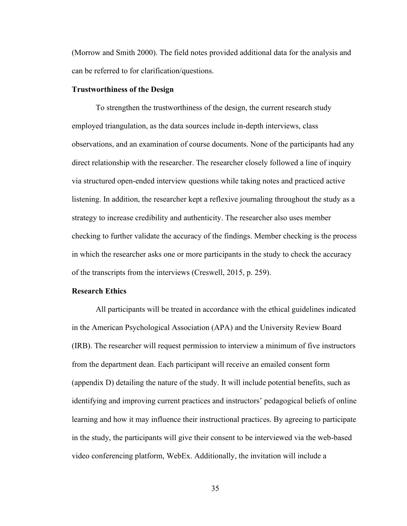(Morrow and Smith 2000). The field notes provided additional data for the analysis and can be referred to for clarification/questions.

## **Trustworthiness of the Design**

To strengthen the trustworthiness of the design, the current research study employed triangulation, as the data sources include in-depth interviews, class observations, and an examination of course documents. None of the participants had any direct relationship with the researcher. The researcher closely followed a line of inquiry via structured open-ended interview questions while taking notes and practiced active listening. In addition, the researcher kept a reflexive journaling throughout the study as a strategy to increase credibility and authenticity. The researcher also uses member checking to further validate the accuracy of the findings. Member checking is the process in which the researcher asks one or more participants in the study to check the accuracy of the transcripts from the interviews (Creswell, 2015, p. 259).

## **Research Ethics**

All participants will be treated in accordance with the ethical guidelines indicated in the American Psychological Association (APA) and the University Review Board (IRB). The researcher will request permission to interview a minimum of five instructors from the department dean. Each participant will receive an emailed consent form (appendix D) detailing the nature of the study. It will include potential benefits, such as identifying and improving current practices and instructors' pedagogical beliefs of online learning and how it may influence their instructional practices. By agreeing to participate in the study, the participants will give their consent to be interviewed via the web-based video conferencing platform, WebEx. Additionally, the invitation will include a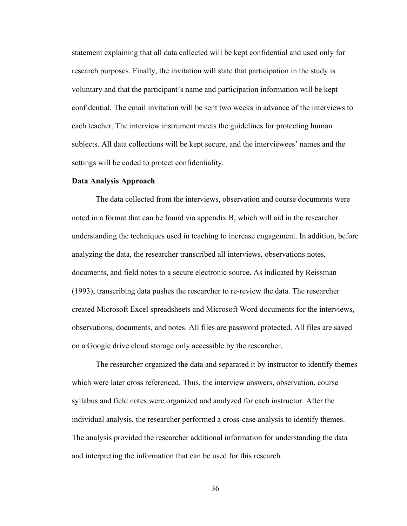statement explaining that all data collected will be kept confidential and used only for research purposes. Finally, the invitation will state that participation in the study is voluntary and that the participant's name and participation information will be kept confidential. The email invitation will be sent two weeks in advance of the interviews to each teacher. The interview instrument meets the guidelines for protecting human subjects. All data collections will be kept secure, and the interviewees' names and the settings will be coded to protect confidentiality.

#### **Data Analysis Approach**

The data collected from the interviews, observation and course documents were noted in a format that can be found via appendix B, which will aid in the researcher understanding the techniques used in teaching to increase engagement. In addition, before analyzing the data, the researcher transcribed all interviews, observations notes, documents, and field notes to a secure electronic source. As indicated by Reissman (1993), transcribing data pushes the researcher to re-review the data. The researcher created Microsoft Excel spreadsheets and Microsoft Word documents for the interviews, observations, documents, and notes. All files are password protected. All files are saved on a Google drive cloud storage only accessible by the researcher.

The researcher organized the data and separated it by instructor to identify themes which were later cross referenced. Thus, the interview answers, observation, course syllabus and field notes were organized and analyzed for each instructor. After the individual analysis, the researcher performed a cross-case analysis to identify themes. The analysis provided the researcher additional information for understanding the data and interpreting the information that can be used for this research.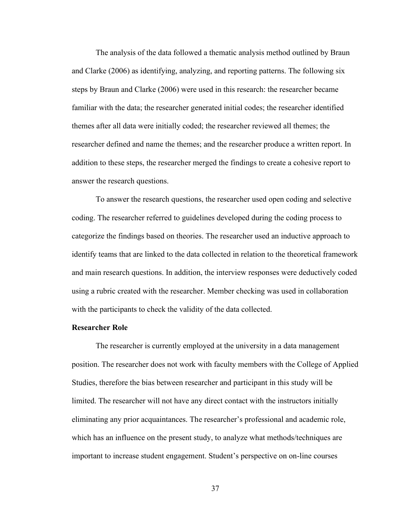The analysis of the data followed a thematic analysis method outlined by Braun and Clarke (2006) as identifying, analyzing, and reporting patterns. The following six steps by Braun and Clarke (2006) were used in this research: the researcher became familiar with the data; the researcher generated initial codes; the researcher identified themes after all data were initially coded; the researcher reviewed all themes; the researcher defined and name the themes; and the researcher produce a written report. In addition to these steps, the researcher merged the findings to create a cohesive report to answer the research questions.

To answer the research questions, the researcher used open coding and selective coding. The researcher referred to guidelines developed during the coding process to categorize the findings based on theories. The researcher used an inductive approach to identify teams that are linked to the data collected in relation to the theoretical framework and main research questions. In addition, the interview responses were deductively coded using a rubric created with the researcher. Member checking was used in collaboration with the participants to check the validity of the data collected.

### **Researcher Role**

The researcher is currently employed at the university in a data management position. The researcher does not work with faculty members with the College of Applied Studies, therefore the bias between researcher and participant in this study will be limited. The researcher will not have any direct contact with the instructors initially eliminating any prior acquaintances. The researcher's professional and academic role, which has an influence on the present study, to analyze what methods/techniques are important to increase student engagement. Student's perspective on on-line courses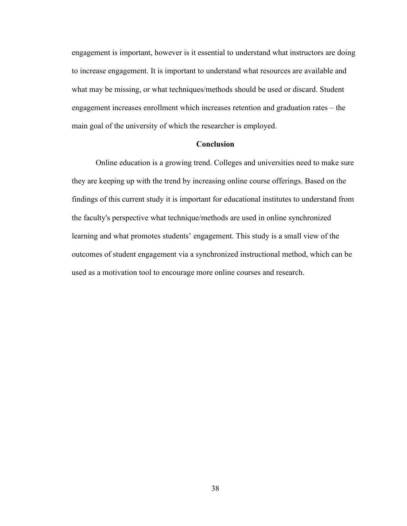engagement is important, however is it essential to understand what instructors are doing to increase engagement. It is important to understand what resources are available and what may be missing, or what techniques/methods should be used or discard. Student engagement increases enrollment which increases retention and graduation rates – the main goal of the university of which the researcher is employed.

## **Conclusion**

Online education is a growing trend. Colleges and universities need to make sure they are keeping up with the trend by increasing online course offerings. Based on the findings of this current study it is important for educational institutes to understand from the faculty's perspective what technique/methods are used in online synchronized learning and what promotes students' engagement. This study is a small view of the outcomes of student engagement via a synchronized instructional method, which can be used as a motivation tool to encourage more online courses and research.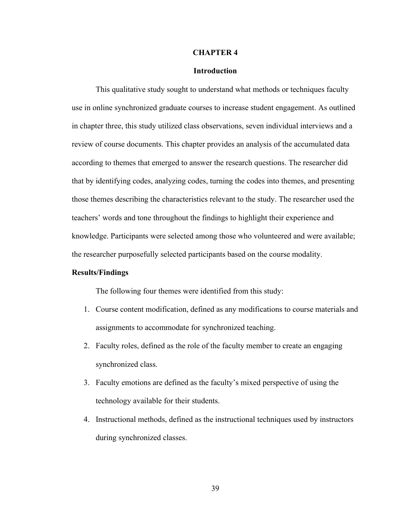### **CHAPTER 4**

## **Introduction**

This qualitative study sought to understand what methods or techniques faculty use in online synchronized graduate courses to increase student engagement. As outlined in chapter three, this study utilized class observations, seven individual interviews and a review of course documents. This chapter provides an analysis of the accumulated data according to themes that emerged to answer the research questions. The researcher did that by identifying codes, analyzing codes, turning the codes into themes, and presenting those themes describing the characteristics relevant to the study. The researcher used the teachers' words and tone throughout the findings to highlight their experience and knowledge. Participants were selected among those who volunteered and were available; the researcher purposefully selected participants based on the course modality.

## **Results/Findings**

The following four themes were identified from this study:

- 1. Course content modification, defined as any modifications to course materials and assignments to accommodate for synchronized teaching.
- 2. Faculty roles, defined as the role of the faculty member to create an engaging synchronized class.
- 3. Faculty emotions are defined as the faculty's mixed perspective of using the technology available for their students.
- 4. Instructional methods, defined as the instructional techniques used by instructors during synchronized classes.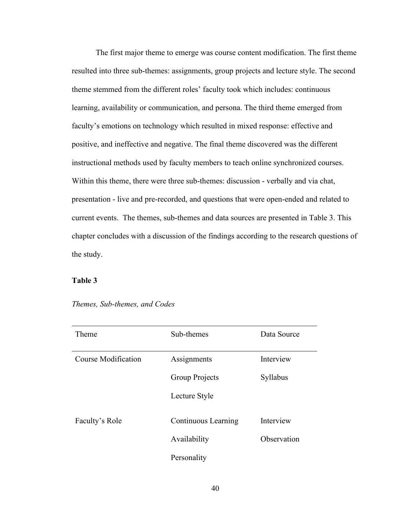The first major theme to emerge was course content modification. The first theme resulted into three sub-themes: assignments, group projects and lecture style. The second theme stemmed from the different roles' faculty took which includes: continuous learning, availability or communication, and persona. The third theme emerged from faculty's emotions on technology which resulted in mixed response: effective and positive, and ineffective and negative. The final theme discovered was the different instructional methods used by faculty members to teach online synchronized courses. Within this theme, there were three sub-themes: discussion - verbally and via chat, presentation - live and pre-recorded, and questions that were open-ended and related to current events. The themes, sub-themes and data sources are presented in Table 3. This chapter concludes with a discussion of the findings according to the research questions of the study.

# **Table 3**

| Theme               | Sub-themes                 | Data Source |
|---------------------|----------------------------|-------------|
| Course Modification | Assignments                | Interview   |
|                     | Group Projects             | Syllabus    |
|                     | Lecture Style              |             |
| Faculty's Role      | <b>Continuous Learning</b> | Interview   |
|                     | Availability               | Observation |
|                     | Personality                |             |

*Themes, Sub-themes, and Codes*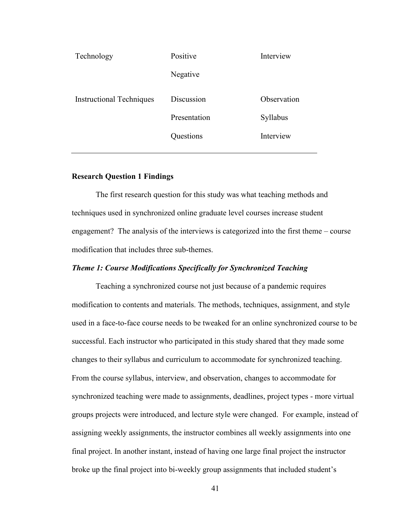| Technology                      | Positive     | Interview   |
|---------------------------------|--------------|-------------|
|                                 | Negative     |             |
| <b>Instructional Techniques</b> | Discussion   | Observation |
|                                 | Presentation | Syllabus    |
|                                 | Questions    | Interview   |
|                                 |              |             |

## **Research Question 1 Findings**

The first research question for this study was what teaching methods and techniques used in synchronized online graduate level courses increase student engagement? The analysis of the interviews is categorized into the first theme – course modification that includes three sub-themes.

## *Theme 1: Course Modifications Specifically for Synchronized Teaching*

Teaching a synchronized course not just because of a pandemic requires modification to contents and materials. The methods, techniques, assignment, and style used in a face-to-face course needs to be tweaked for an online synchronized course to be successful. Each instructor who participated in this study shared that they made some changes to their syllabus and curriculum to accommodate for synchronized teaching. From the course syllabus, interview, and observation, changes to accommodate for synchronized teaching were made to assignments, deadlines, project types - more virtual groups projects were introduced, and lecture style were changed. For example, instead of assigning weekly assignments, the instructor combines all weekly assignments into one final project. In another instant, instead of having one large final project the instructor broke up the final project into bi-weekly group assignments that included student's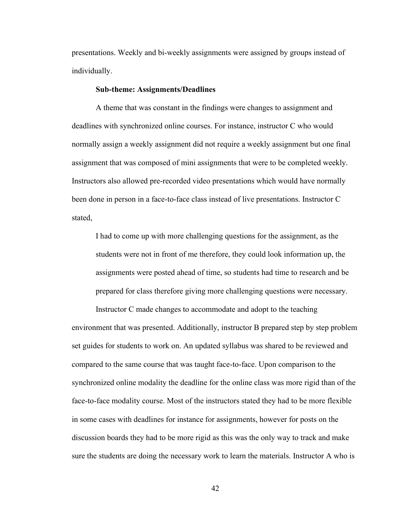presentations. Weekly and bi-weekly assignments were assigned by groups instead of individually.

### **Sub-theme: Assignments/Deadlines**

A theme that was constant in the findings were changes to assignment and deadlines with synchronized online courses. For instance, instructor C who would normally assign a weekly assignment did not require a weekly assignment but one final assignment that was composed of mini assignments that were to be completed weekly. Instructors also allowed pre-recorded video presentations which would have normally been done in person in a face-to-face class instead of live presentations. Instructor C stated,

I had to come up with more challenging questions for the assignment, as the students were not in front of me therefore, they could look information up, the assignments were posted ahead of time, so students had time to research and be prepared for class therefore giving more challenging questions were necessary.

Instructor C made changes to accommodate and adopt to the teaching environment that was presented. Additionally, instructor B prepared step by step problem set guides for students to work on. An updated syllabus was shared to be reviewed and compared to the same course that was taught face-to-face. Upon comparison to the synchronized online modality the deadline for the online class was more rigid than of the face-to-face modality course. Most of the instructors stated they had to be more flexible in some cases with deadlines for instance for assignments, however for posts on the discussion boards they had to be more rigid as this was the only way to track and make sure the students are doing the necessary work to learn the materials. Instructor A who is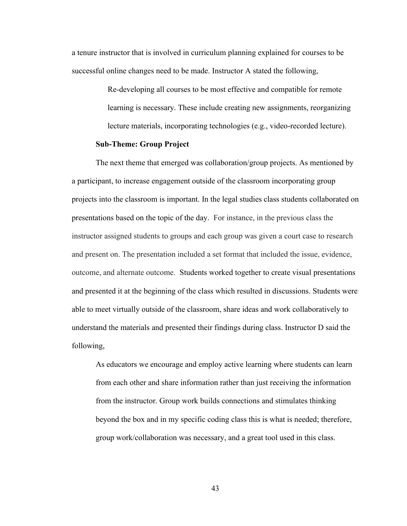a tenure instructor that is involved in curriculum planning explained for courses to be successful online changes need to be made. Instructor A stated the following,

> Re-developing all courses to be most effective and compatible for remote learning is necessary. These include creating new assignments, reorganizing lecture materials, incorporating technologies (e.g., video-recorded lecture).

## **Sub-Theme: Group Project**

The next theme that emerged was collaboration/group projects. As mentioned by a participant, to increase engagement outside of the classroom incorporating group projects into the classroom is important. In the legal studies class students collaborated on presentations based on the topic of the day. For instance, in the previous class the instructor assigned students to groups and each group was given a court case to research and present on. The presentation included a set format that included the issue, evidence, outcome, and alternate outcome. Students worked together to create visual presentations and presented it at the beginning of the class which resulted in discussions. Students were able to meet virtually outside of the classroom, share ideas and work collaboratively to understand the materials and presented their findings during class. Instructor D said the following,

As educators we encourage and employ active learning where students can learn from each other and share information rather than just receiving the information from the instructor. Group work builds connections and stimulates thinking beyond the box and in my specific coding class this is what is needed; therefore, group work/collaboration was necessary, and a great tool used in this class.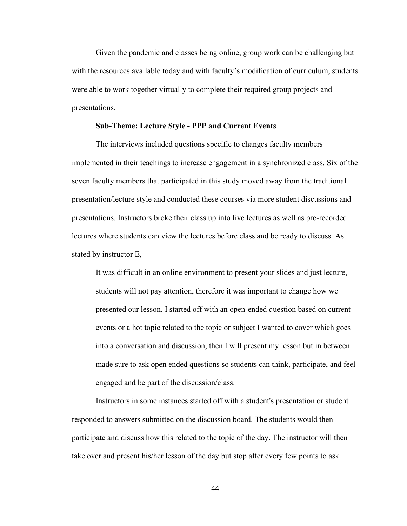Given the pandemic and classes being online, group work can be challenging but with the resources available today and with faculty's modification of curriculum, students were able to work together virtually to complete their required group projects and presentations.

#### **Sub-Theme: Lecture Style - PPP and Current Events**

The interviews included questions specific to changes faculty members implemented in their teachings to increase engagement in a synchronized class. Six of the seven faculty members that participated in this study moved away from the traditional presentation/lecture style and conducted these courses via more student discussions and presentations. Instructors broke their class up into live lectures as well as pre-recorded lectures where students can view the lectures before class and be ready to discuss. As stated by instructor E,

It was difficult in an online environment to present your slides and just lecture, students will not pay attention, therefore it was important to change how we presented our lesson. I started off with an open-ended question based on current events or a hot topic related to the topic or subject I wanted to cover which goes into a conversation and discussion, then I will present my lesson but in between made sure to ask open ended questions so students can think, participate, and feel engaged and be part of the discussion/class.

Instructors in some instances started off with a student's presentation or student responded to answers submitted on the discussion board. The students would then participate and discuss how this related to the topic of the day. The instructor will then take over and present his/her lesson of the day but stop after every few points to ask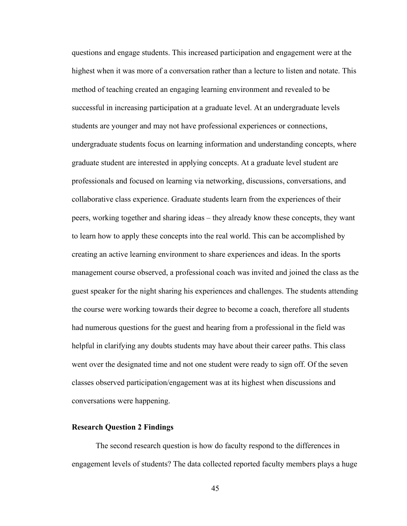questions and engage students. This increased participation and engagement were at the highest when it was more of a conversation rather than a lecture to listen and notate. This method of teaching created an engaging learning environment and revealed to be successful in increasing participation at a graduate level. At an undergraduate levels students are younger and may not have professional experiences or connections, undergraduate students focus on learning information and understanding concepts, where graduate student are interested in applying concepts. At a graduate level student are professionals and focused on learning via networking, discussions, conversations, and collaborative class experience. Graduate students learn from the experiences of their peers, working together and sharing ideas – they already know these concepts, they want to learn how to apply these concepts into the real world. This can be accomplished by creating an active learning environment to share experiences and ideas. In the sports management course observed, a professional coach was invited and joined the class as the guest speaker for the night sharing his experiences and challenges. The students attending the course were working towards their degree to become a coach, therefore all students had numerous questions for the guest and hearing from a professional in the field was helpful in clarifying any doubts students may have about their career paths. This class went over the designated time and not one student were ready to sign off. Of the seven classes observed participation/engagement was at its highest when discussions and conversations were happening.

# **Research Question 2 Findings**

The second research question is how do faculty respond to the differences in engagement levels of students? The data collected reported faculty members plays a huge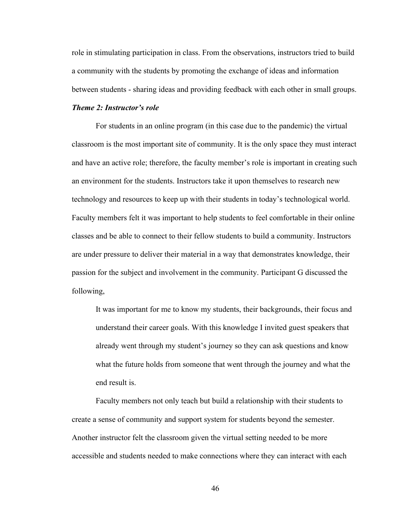role in stimulating participation in class. From the observations, instructors tried to build a community with the students by promoting the exchange of ideas and information between students - sharing ideas and providing feedback with each other in small groups.

## *Theme 2: Instructor's role*

For students in an online program (in this case due to the pandemic) the virtual classroom is the most important site of community. It is the only space they must interact and have an active role; therefore, the faculty member's role is important in creating such an environment for the students. Instructors take it upon themselves to research new technology and resources to keep up with their students in today's technological world. Faculty members felt it was important to help students to feel comfortable in their online classes and be able to connect to their fellow students to build a community. Instructors are under pressure to deliver their material in a way that demonstrates knowledge, their passion for the subject and involvement in the community. Participant G discussed the following,

It was important for me to know my students, their backgrounds, their focus and understand their career goals. With this knowledge I invited guest speakers that already went through my student's journey so they can ask questions and know what the future holds from someone that went through the journey and what the end result is.

Faculty members not only teach but build a relationship with their students to create a sense of community and support system for students beyond the semester. Another instructor felt the classroom given the virtual setting needed to be more accessible and students needed to make connections where they can interact with each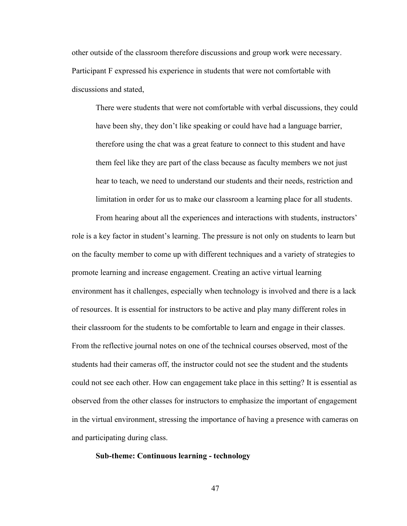other outside of the classroom therefore discussions and group work were necessary. Participant F expressed his experience in students that were not comfortable with discussions and stated,

There were students that were not comfortable with verbal discussions, they could have been shy, they don't like speaking or could have had a language barrier, therefore using the chat was a great feature to connect to this student and have them feel like they are part of the class because as faculty members we not just hear to teach, we need to understand our students and their needs, restriction and limitation in order for us to make our classroom a learning place for all students.

From hearing about all the experiences and interactions with students, instructors' role is a key factor in student's learning. The pressure is not only on students to learn but on the faculty member to come up with different techniques and a variety of strategies to promote learning and increase engagement. Creating an active virtual learning environment has it challenges, especially when technology is involved and there is a lack of resources. It is essential for instructors to be active and play many different roles in their classroom for the students to be comfortable to learn and engage in their classes. From the reflective journal notes on one of the technical courses observed, most of the students had their cameras off, the instructor could not see the student and the students could not see each other. How can engagement take place in this setting? It is essential as observed from the other classes for instructors to emphasize the important of engagement in the virtual environment, stressing the importance of having a presence with cameras on and participating during class.

# **Sub-theme: Continuous learning - technology**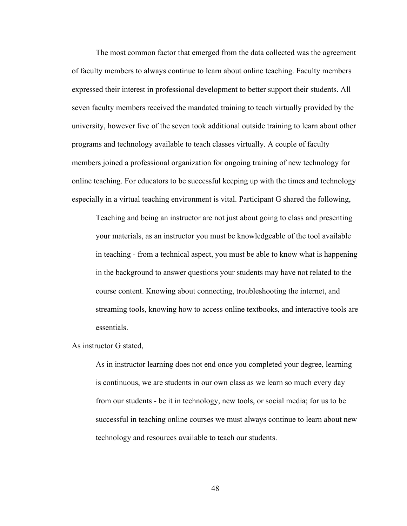The most common factor that emerged from the data collected was the agreement of faculty members to always continue to learn about online teaching. Faculty members expressed their interest in professional development to better support their students. All seven faculty members received the mandated training to teach virtually provided by the university, however five of the seven took additional outside training to learn about other programs and technology available to teach classes virtually. A couple of faculty members joined a professional organization for ongoing training of new technology for online teaching. For educators to be successful keeping up with the times and technology especially in a virtual teaching environment is vital. Participant G shared the following,

Teaching and being an instructor are not just about going to class and presenting your materials, as an instructor you must be knowledgeable of the tool available in teaching - from a technical aspect, you must be able to know what is happening in the background to answer questions your students may have not related to the course content. Knowing about connecting, troubleshooting the internet, and streaming tools, knowing how to access online textbooks, and interactive tools are essentials.

#### As instructor G stated,

As in instructor learning does not end once you completed your degree, learning is continuous, we are students in our own class as we learn so much every day from our students - be it in technology, new tools, or social media; for us to be successful in teaching online courses we must always continue to learn about new technology and resources available to teach our students.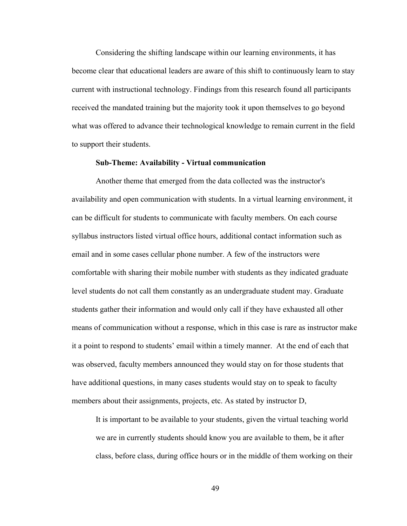Considering the shifting landscape within our learning environments, it has become clear that educational leaders are aware of this shift to continuously learn to stay current with instructional technology. Findings from this research found all participants received the mandated training but the majority took it upon themselves to go beyond what was offered to advance their technological knowledge to remain current in the field to support their students.

#### **Sub-Theme: Availability - Virtual communication**

Another theme that emerged from the data collected was the instructor's availability and open communication with students. In a virtual learning environment, it can be difficult for students to communicate with faculty members. On each course syllabus instructors listed virtual office hours, additional contact information such as email and in some cases cellular phone number. A few of the instructors were comfortable with sharing their mobile number with students as they indicated graduate level students do not call them constantly as an undergraduate student may. Graduate students gather their information and would only call if they have exhausted all other means of communication without a response, which in this case is rare as instructor make it a point to respond to students' email within a timely manner. At the end of each that was observed, faculty members announced they would stay on for those students that have additional questions, in many cases students would stay on to speak to faculty members about their assignments, projects, etc. As stated by instructor D,

It is important to be available to your students, given the virtual teaching world we are in currently students should know you are available to them, be it after class, before class, during office hours or in the middle of them working on their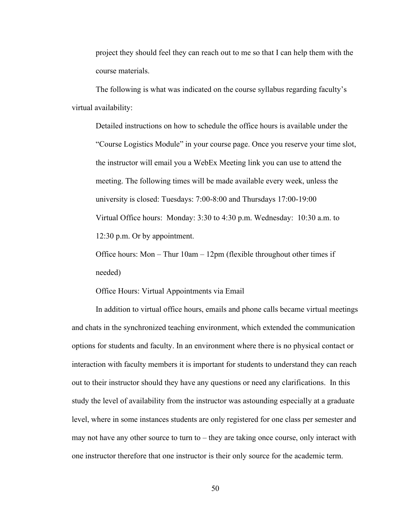project they should feel they can reach out to me so that I can help them with the course materials.

The following is what was indicated on the course syllabus regarding faculty's virtual availability:

Detailed instructions on how to schedule the office hours is available under the "Course Logistics Module" in your course page. Once you reserve your time slot, the instructor will email you a WebEx Meeting link you can use to attend the meeting. The following times will be made available every week, unless the university is closed: Tuesdays: 7:00-8:00 and Thursdays 17:00-19:00 Virtual Office hours: Monday: 3:30 to 4:30 p.m. Wednesday: 10:30 a.m. to 12:30 p.m. Or by appointment.

Office hours: Mon – Thur 10am – 12pm (flexible throughout other times if needed)

Office Hours: Virtual Appointments via Email

In addition to virtual office hours, emails and phone calls became virtual meetings and chats in the synchronized teaching environment, which extended the communication options for students and faculty. In an environment where there is no physical contact or interaction with faculty members it is important for students to understand they can reach out to their instructor should they have any questions or need any clarifications. In this study the level of availability from the instructor was astounding especially at a graduate level, where in some instances students are only registered for one class per semester and may not have any other source to turn to – they are taking once course, only interact with one instructor therefore that one instructor is their only source for the academic term.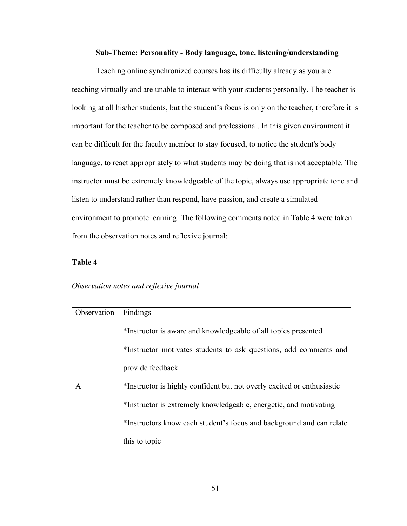## **Sub-Theme: Personality - Body language, tone, listening/understanding**

Teaching online synchronized courses has its difficulty already as you are teaching virtually and are unable to interact with your students personally. The teacher is looking at all his/her students, but the student's focus is only on the teacher, therefore it is important for the teacher to be composed and professional. In this given environment it can be difficult for the faculty member to stay focused, to notice the student's body language, to react appropriately to what students may be doing that is not acceptable. The instructor must be extremely knowledgeable of the topic, always use appropriate tone and listen to understand rather than respond, have passion, and create a simulated environment to promote learning. The following comments noted in Table 4 were taken from the observation notes and reflexive journal:

## **Table 4**

### *Observation notes and reflexive journal*

| Observation  | Findings                                                               |
|--------------|------------------------------------------------------------------------|
|              | *Instructor is aware and knowledgeable of all topics presented         |
|              | *Instructor motivates students to ask questions, add comments and      |
|              | provide feedback                                                       |
| $\mathsf{A}$ | *Instructor is highly confident but not overly excited or enthusiastic |
|              | *Instructor is extremely knowledgeable, energetic, and motivating      |
|              | *Instructors know each student's focus and background and can relate   |
|              | this to topic                                                          |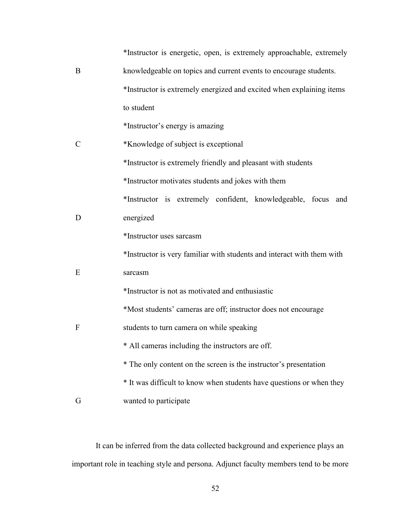|               | *Instructor is energetic, open, is extremely approachable, extremely   |
|---------------|------------------------------------------------------------------------|
| B             | knowledgeable on topics and current events to encourage students.      |
|               | *Instructor is extremely energized and excited when explaining items   |
|               | to student                                                             |
|               | *Instructor's energy is amazing                                        |
| $\mathcal{C}$ | *Knowledge of subject is exceptional                                   |
|               | *Instructor is extremely friendly and pleasant with students           |
|               | *Instructor motivates students and jokes with them                     |
|               | *Instructor is extremely confident, knowledgeable, focus and           |
| D             | energized                                                              |
|               | *Instructor uses sarcasm                                               |
|               | *Instructor is very familiar with students and interact with them with |
| E             | sarcasm                                                                |
|               | *Instructor is not as motivated and enthusiastic                       |
|               | *Most students' cameras are off; instructor does not encourage         |
| $\mathbf{F}$  | students to turn camera on while speaking                              |
|               | All cameras including the instructors are off.                         |
|               | * The only content on the screen is the instructor's presentation      |
|               | * It was difficult to know when students have questions or when they   |
| G             | wanted to participate                                                  |

It can be inferred from the data collected background and experience plays an important role in teaching style and persona. Adjunct faculty members tend to be more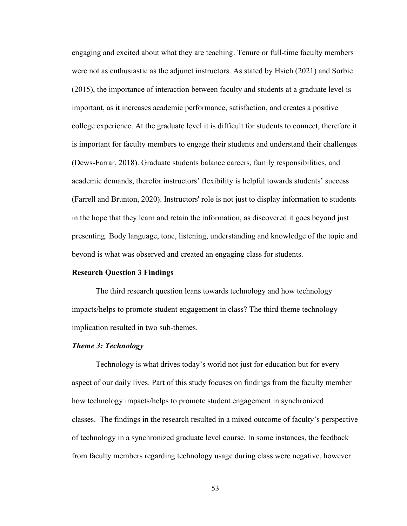engaging and excited about what they are teaching. Tenure or full-time faculty members were not as enthusiastic as the adjunct instructors. As stated by Hsieh (2021) and Sorbie (2015), the importance of interaction between faculty and students at a graduate level is important, as it increases academic performance, satisfaction, and creates a positive college experience. At the graduate level it is difficult for students to connect, therefore it is important for faculty members to engage their students and understand their challenges (Dews-Farrar, 2018). Graduate students balance careers, family responsibilities, and academic demands, therefor instructors' flexibility is helpful towards students' success (Farrell and Brunton, 2020). Instructors' role is not just to display information to students in the hope that they learn and retain the information, as discovered it goes beyond just presenting. Body language, tone, listening, understanding and knowledge of the topic and beyond is what was observed and created an engaging class for students.

## **Research Question 3 Findings**

The third research question leans towards technology and how technology impacts/helps to promote student engagement in class? The third theme technology implication resulted in two sub-themes.

#### *Theme 3: Technology*

Technology is what drives today's world not just for education but for every aspect of our daily lives. Part of this study focuses on findings from the faculty member how technology impacts/helps to promote student engagement in synchronized classes. The findings in the research resulted in a mixed outcome of faculty's perspective of technology in a synchronized graduate level course. In some instances, the feedback from faculty members regarding technology usage during class were negative, however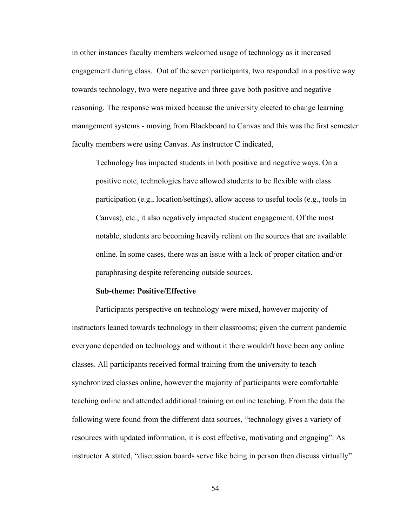in other instances faculty members welcomed usage of technology as it increased engagement during class. Out of the seven participants, two responded in a positive way towards technology, two were negative and three gave both positive and negative reasoning. The response was mixed because the university elected to change learning management systems - moving from Blackboard to Canvas and this was the first semester faculty members were using Canvas. As instructor C indicated,

Technology has impacted students in both positive and negative ways. On a positive note, technologies have allowed students to be flexible with class participation (e.g., location/settings), allow access to useful tools (e.g., tools in Canvas), etc., it also negatively impacted student engagement. Of the most notable, students are becoming heavily reliant on the sources that are available online. In some cases, there was an issue with a lack of proper citation and/or paraphrasing despite referencing outside sources.

#### **Sub-theme: Positive/Effective**

Participants perspective on technology were mixed, however majority of instructors leaned towards technology in their classrooms; given the current pandemic everyone depended on technology and without it there wouldn't have been any online classes. All participants received formal training from the university to teach synchronized classes online, however the majority of participants were comfortable teaching online and attended additional training on online teaching. From the data the following were found from the different data sources, "technology gives a variety of resources with updated information, it is cost effective, motivating and engaging". As instructor A stated, "discussion boards serve like being in person then discuss virtually"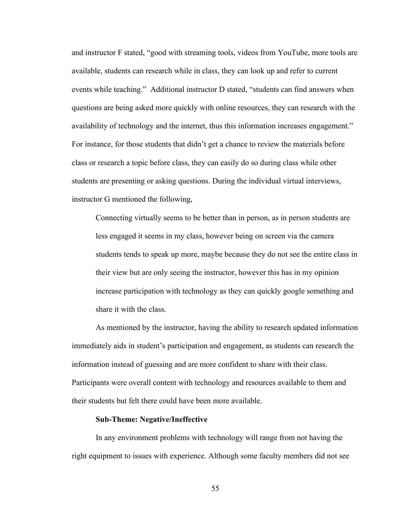and instructor F stated, "good with streaming tools, videos from YouTube, more tools are available, students can research while in class, they can look up and refer to current events while teaching." Additional instructor D stated, "students can find answers when questions are being asked more quickly with online resources, they can research with the availability of technology and the internet, thus this information increases engagement." For instance, for those students that didn't get a chance to review the materials before class or research a topic before class, they can easily do so during class while other students are presenting or asking questions. During the individual virtual interviews, instructor G mentioned the following,

Connecting virtually seems to be better than in person, as in person students are less engaged it seems in my class, however being on screen via the camera students tends to speak up more, maybe because they do not see the entire class in their view but are only seeing the instructor, however this has in my opinion increase participation with technology as they can quickly google something and share it with the class.

As mentioned by the instructor, having the ability to research updated information immediately aids in student's participation and engagement, as students can research the information instead of guessing and are more confident to share with their class. Participants were overall content with technology and resources available to them and their students but felt there could have been more available.

### **Sub-Theme: Negative/Ineffective**

In any environment problems with technology will range from not having the right equipment to issues with experience. Although some faculty members did not see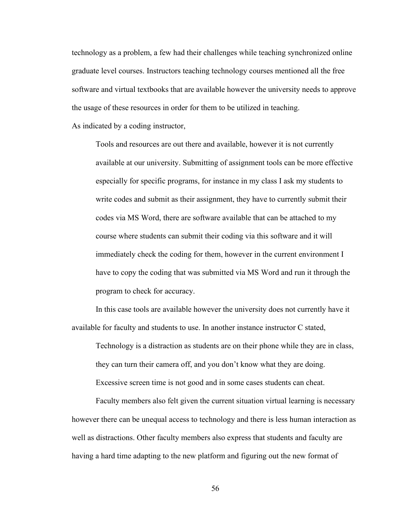technology as a problem, a few had their challenges while teaching synchronized online graduate level courses. Instructors teaching technology courses mentioned all the free software and virtual textbooks that are available however the university needs to approve the usage of these resources in order for them to be utilized in teaching.

As indicated by a coding instructor,

Tools and resources are out there and available, however it is not currently available at our university. Submitting of assignment tools can be more effective especially for specific programs, for instance in my class I ask my students to write codes and submit as their assignment, they have to currently submit their codes via MS Word, there are software available that can be attached to my course where students can submit their coding via this software and it will immediately check the coding for them, however in the current environment I have to copy the coding that was submitted via MS Word and run it through the program to check for accuracy.

In this case tools are available however the university does not currently have it available for faculty and students to use. In another instance instructor C stated,

Technology is a distraction as students are on their phone while they are in class, they can turn their camera off, and you don't know what they are doing. Excessive screen time is not good and in some cases students can cheat.

Faculty members also felt given the current situation virtual learning is necessary however there can be unequal access to technology and there is less human interaction as well as distractions. Other faculty members also express that students and faculty are having a hard time adapting to the new platform and figuring out the new format of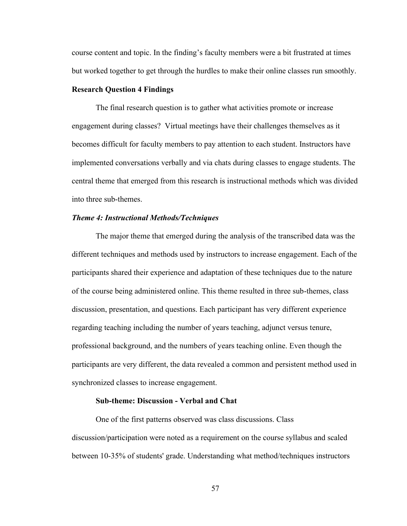course content and topic. In the finding's faculty members were a bit frustrated at times but worked together to get through the hurdles to make their online classes run smoothly.

## **Research Question 4 Findings**

The final research question is to gather what activities promote or increase engagement during classes? Virtual meetings have their challenges themselves as it becomes difficult for faculty members to pay attention to each student. Instructors have implemented conversations verbally and via chats during classes to engage students. The central theme that emerged from this research is instructional methods which was divided into three sub-themes.

#### *Theme 4: Instructional Methods/Techniques*

The major theme that emerged during the analysis of the transcribed data was the different techniques and methods used by instructors to increase engagement. Each of the participants shared their experience and adaptation of these techniques due to the nature of the course being administered online. This theme resulted in three sub-themes, class discussion, presentation, and questions. Each participant has very different experience regarding teaching including the number of years teaching, adjunct versus tenure, professional background, and the numbers of years teaching online. Even though the participants are very different, the data revealed a common and persistent method used in synchronized classes to increase engagement.

# **Sub-theme: Discussion - Verbal and Chat**

One of the first patterns observed was class discussions. Class discussion/participation were noted as a requirement on the course syllabus and scaled between 10-35% of students' grade. Understanding what method/techniques instructors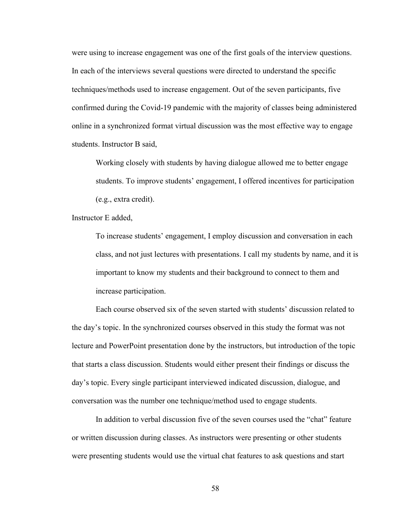were using to increase engagement was one of the first goals of the interview questions. In each of the interviews several questions were directed to understand the specific techniques/methods used to increase engagement. Out of the seven participants, five confirmed during the Covid-19 pandemic with the majority of classes being administered online in a synchronized format virtual discussion was the most effective way to engage students. Instructor B said,

Working closely with students by having dialogue allowed me to better engage students. To improve students' engagement, I offered incentives for participation (e.g., extra credit).

Instructor E added,

To increase students' engagement, I employ discussion and conversation in each class, and not just lectures with presentations. I call my students by name, and it is important to know my students and their background to connect to them and increase participation.

Each course observed six of the seven started with students' discussion related to the day's topic. In the synchronized courses observed in this study the format was not lecture and PowerPoint presentation done by the instructors, but introduction of the topic that starts a class discussion. Students would either present their findings or discuss the day's topic. Every single participant interviewed indicated discussion, dialogue, and conversation was the number one technique/method used to engage students.

In addition to verbal discussion five of the seven courses used the "chat" feature or written discussion during classes. As instructors were presenting or other students were presenting students would use the virtual chat features to ask questions and start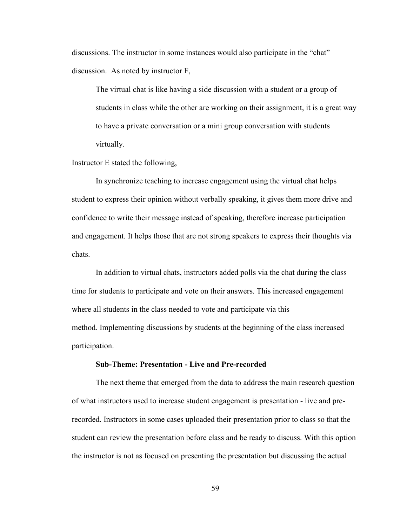discussions. The instructor in some instances would also participate in the "chat" discussion. As noted by instructor F,

The virtual chat is like having a side discussion with a student or a group of students in class while the other are working on their assignment, it is a great way to have a private conversation or a mini group conversation with students virtually.

Instructor E stated the following,

In synchronize teaching to increase engagement using the virtual chat helps student to express their opinion without verbally speaking, it gives them more drive and confidence to write their message instead of speaking, therefore increase participation and engagement. It helps those that are not strong speakers to express their thoughts via chats.

In addition to virtual chats, instructors added polls via the chat during the class time for students to participate and vote on their answers. This increased engagement where all students in the class needed to vote and participate via this method. Implementing discussions by students at the beginning of the class increased participation.

## **Sub-Theme: Presentation - Live and Pre-recorded**

The next theme that emerged from the data to address the main research question of what instructors used to increase student engagement is presentation - live and prerecorded. Instructors in some cases uploaded their presentation prior to class so that the student can review the presentation before class and be ready to discuss. With this option the instructor is not as focused on presenting the presentation but discussing the actual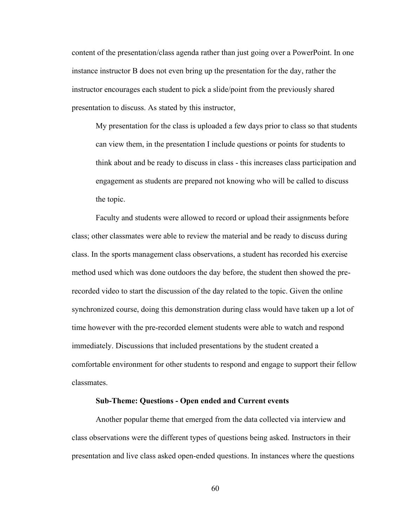content of the presentation/class agenda rather than just going over a PowerPoint. In one instance instructor B does not even bring up the presentation for the day, rather the instructor encourages each student to pick a slide/point from the previously shared presentation to discuss. As stated by this instructor,

My presentation for the class is uploaded a few days prior to class so that students can view them, in the presentation I include questions or points for students to think about and be ready to discuss in class - this increases class participation and engagement as students are prepared not knowing who will be called to discuss the topic.

Faculty and students were allowed to record or upload their assignments before class; other classmates were able to review the material and be ready to discuss during class. In the sports management class observations, a student has recorded his exercise method used which was done outdoors the day before, the student then showed the prerecorded video to start the discussion of the day related to the topic. Given the online synchronized course, doing this demonstration during class would have taken up a lot of time however with the pre-recorded element students were able to watch and respond immediately. Discussions that included presentations by the student created a comfortable environment for other students to respond and engage to support their fellow classmates.

### **Sub-Theme: Questions - Open ended and Current events**

Another popular theme that emerged from the data collected via interview and class observations were the different types of questions being asked. Instructors in their presentation and live class asked open-ended questions. In instances where the questions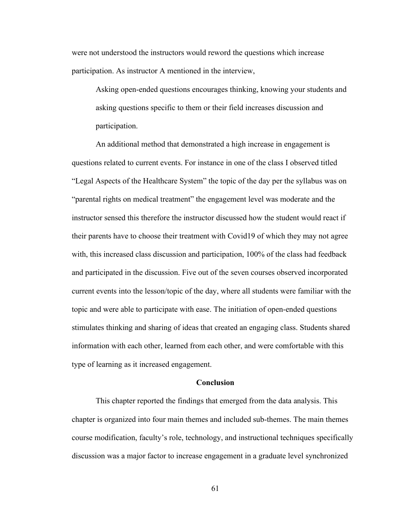were not understood the instructors would reword the questions which increase participation. As instructor A mentioned in the interview,

Asking open-ended questions encourages thinking, knowing your students and asking questions specific to them or their field increases discussion and participation.

An additional method that demonstrated a high increase in engagement is questions related to current events. For instance in one of the class I observed titled "Legal Aspects of the Healthcare System" the topic of the day per the syllabus was on "parental rights on medical treatment" the engagement level was moderate and the instructor sensed this therefore the instructor discussed how the student would react if their parents have to choose their treatment with Covid19 of which they may not agree with, this increased class discussion and participation, 100% of the class had feedback and participated in the discussion. Five out of the seven courses observed incorporated current events into the lesson/topic of the day, where all students were familiar with the topic and were able to participate with ease. The initiation of open-ended questions stimulates thinking and sharing of ideas that created an engaging class. Students shared information with each other, learned from each other, and were comfortable with this type of learning as it increased engagement.

## **Conclusion**

This chapter reported the findings that emerged from the data analysis. This chapter is organized into four main themes and included sub-themes. The main themes course modification, faculty's role, technology, and instructional techniques specifically discussion was a major factor to increase engagement in a graduate level synchronized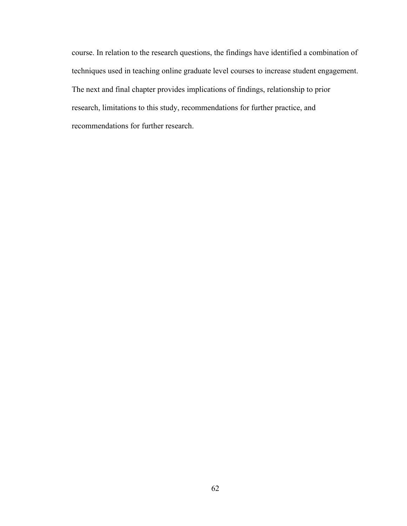course. In relation to the research questions, the findings have identified a combination of techniques used in teaching online graduate level courses to increase student engagement. The next and final chapter provides implications of findings, relationship to prior research, limitations to this study, recommendations for further practice, and recommendations for further research.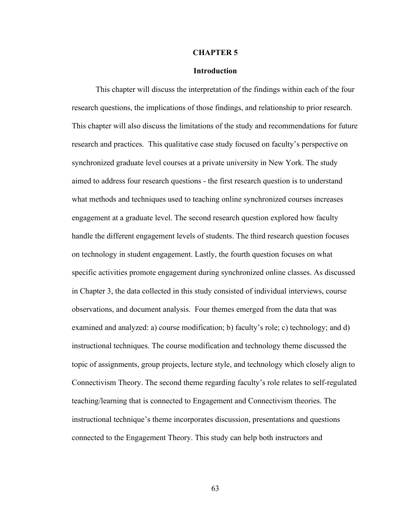#### **CHAPTER 5**

#### **Introduction**

This chapter will discuss the interpretation of the findings within each of the four research questions, the implications of those findings, and relationship to prior research. This chapter will also discuss the limitations of the study and recommendations for future research and practices. This qualitative case study focused on faculty's perspective on synchronized graduate level courses at a private university in New York. The study aimed to address four research questions - the first research question is to understand what methods and techniques used to teaching online synchronized courses increases engagement at a graduate level. The second research question explored how faculty handle the different engagement levels of students. The third research question focuses on technology in student engagement. Lastly, the fourth question focuses on what specific activities promote engagement during synchronized online classes. As discussed in Chapter 3, the data collected in this study consisted of individual interviews, course observations, and document analysis. Four themes emerged from the data that was examined and analyzed: a) course modification; b) faculty's role; c) technology; and d) instructional techniques. The course modification and technology theme discussed the topic of assignments, group projects, lecture style, and technology which closely align to Connectivism Theory. The second theme regarding faculty's role relates to self-regulated teaching/learning that is connected to Engagement and Connectivism theories. The instructional technique's theme incorporates discussion, presentations and questions connected to the Engagement Theory. This study can help both instructors and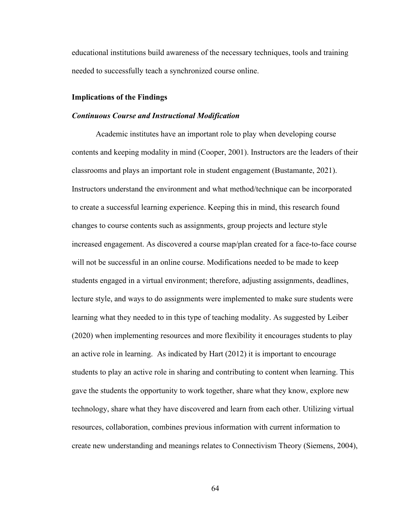educational institutions build awareness of the necessary techniques, tools and training needed to successfully teach a synchronized course online.

#### **Implications of the Findings**

#### *Continuous Course and Instructional Modification*

Academic institutes have an important role to play when developing course contents and keeping modality in mind (Cooper, 2001). Instructors are the leaders of their classrooms and plays an important role in student engagement (Bustamante, 2021). Instructors understand the environment and what method/technique can be incorporated to create a successful learning experience. Keeping this in mind, this research found changes to course contents such as assignments, group projects and lecture style increased engagement. As discovered a course map/plan created for a face-to-face course will not be successful in an online course. Modifications needed to be made to keep students engaged in a virtual environment; therefore, adjusting assignments, deadlines, lecture style, and ways to do assignments were implemented to make sure students were learning what they needed to in this type of teaching modality. As suggested by Leiber (2020) when implementing resources and more flexibility it encourages students to play an active role in learning. As indicated by Hart (2012) it is important to encourage students to play an active role in sharing and contributing to content when learning. This gave the students the opportunity to work together, share what they know, explore new technology, share what they have discovered and learn from each other. Utilizing virtual resources, collaboration, combines previous information with current information to create new understanding and meanings relates to Connectivism Theory (Siemens, 2004),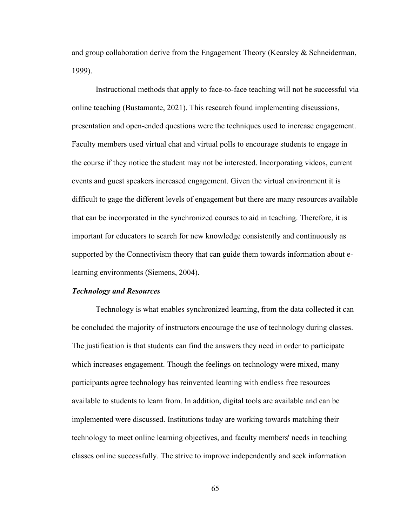and group collaboration derive from the Engagement Theory (Kearsley & Schneiderman, 1999).

Instructional methods that apply to face-to-face teaching will not be successful via online teaching (Bustamante, 2021). This research found implementing discussions, presentation and open-ended questions were the techniques used to increase engagement. Faculty members used virtual chat and virtual polls to encourage students to engage in the course if they notice the student may not be interested. Incorporating videos, current events and guest speakers increased engagement. Given the virtual environment it is difficult to gage the different levels of engagement but there are many resources available that can be incorporated in the synchronized courses to aid in teaching. Therefore, it is important for educators to search for new knowledge consistently and continuously as supported by the Connectivism theory that can guide them towards information about elearning environments (Siemens, 2004).

#### *Technology and Resources*

Technology is what enables synchronized learning, from the data collected it can be concluded the majority of instructors encourage the use of technology during classes. The justification is that students can find the answers they need in order to participate which increases engagement. Though the feelings on technology were mixed, many participants agree technology has reinvented learning with endless free resources available to students to learn from. In addition, digital tools are available and can be implemented were discussed. Institutions today are working towards matching their technology to meet online learning objectives, and faculty members' needs in teaching classes online successfully. The strive to improve independently and seek information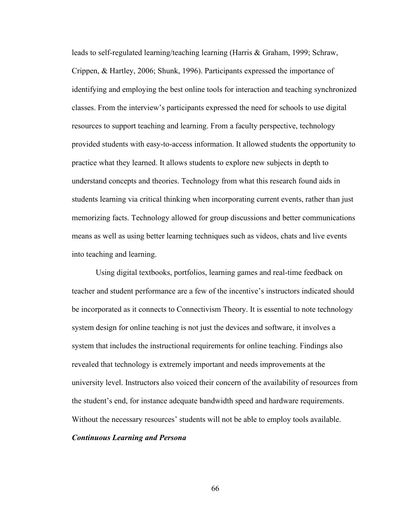leads to self-regulated learning/teaching learning (Harris & Graham, 1999; Schraw, Crippen, & Hartley, 2006; Shunk, 1996). Participants expressed the importance of identifying and employing the best online tools for interaction and teaching synchronized classes. From the interview's participants expressed the need for schools to use digital resources to support teaching and learning. From a faculty perspective, technology provided students with easy-to-access information. It allowed students the opportunity to practice what they learned. It allows students to explore new subjects in depth to understand concepts and theories. Technology from what this research found aids in students learning via critical thinking when incorporating current events, rather than just memorizing facts. Technology allowed for group discussions and better communications means as well as using better learning techniques such as videos, chats and live events into teaching and learning.

Using digital textbooks, portfolios, learning games and real-time feedback on teacher and student performance are a few of the incentive's instructors indicated should be incorporated as it connects to Connectivism Theory. It is essential to note technology system design for online teaching is not just the devices and software, it involves a system that includes the instructional requirements for online teaching. Findings also revealed that technology is extremely important and needs improvements at the university level. Instructors also voiced their concern of the availability of resources from the student's end, for instance adequate bandwidth speed and hardware requirements. Without the necessary resources' students will not be able to employ tools available.

## *Continuous Learning and Persona*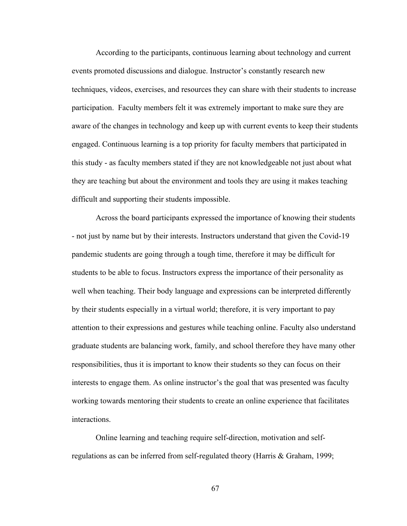According to the participants, continuous learning about technology and current events promoted discussions and dialogue. Instructor's constantly research new techniques, videos, exercises, and resources they can share with their students to increase participation. Faculty members felt it was extremely important to make sure they are aware of the changes in technology and keep up with current events to keep their students engaged. Continuous learning is a top priority for faculty members that participated in this study - as faculty members stated if they are not knowledgeable not just about what they are teaching but about the environment and tools they are using it makes teaching difficult and supporting their students impossible.

Across the board participants expressed the importance of knowing their students - not just by name but by their interests. Instructors understand that given the Covid-19 pandemic students are going through a tough time, therefore it may be difficult for students to be able to focus. Instructors express the importance of their personality as well when teaching. Their body language and expressions can be interpreted differently by their students especially in a virtual world; therefore, it is very important to pay attention to their expressions and gestures while teaching online. Faculty also understand graduate students are balancing work, family, and school therefore they have many other responsibilities, thus it is important to know their students so they can focus on their interests to engage them. As online instructor's the goal that was presented was faculty working towards mentoring their students to create an online experience that facilitates interactions.

Online learning and teaching require self-direction, motivation and selfregulations as can be inferred from self-regulated theory (Harris & Graham, 1999;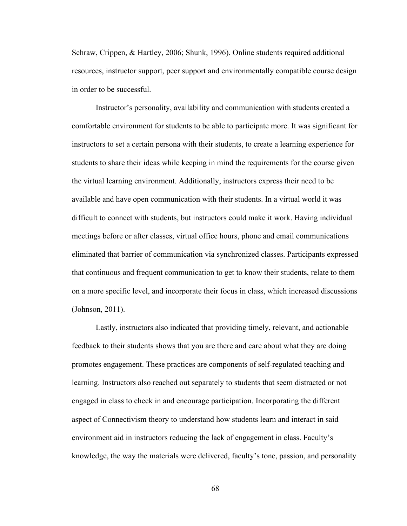Schraw, Crippen, & Hartley, 2006; Shunk, 1996). Online students required additional resources, instructor support, peer support and environmentally compatible course design in order to be successful.

Instructor's personality, availability and communication with students created a comfortable environment for students to be able to participate more. It was significant for instructors to set a certain persona with their students, to create a learning experience for students to share their ideas while keeping in mind the requirements for the course given the virtual learning environment. Additionally, instructors express their need to be available and have open communication with their students. In a virtual world it was difficult to connect with students, but instructors could make it work. Having individual meetings before or after classes, virtual office hours, phone and email communications eliminated that barrier of communication via synchronized classes. Participants expressed that continuous and frequent communication to get to know their students, relate to them on a more specific level, and incorporate their focus in class, which increased discussions (Johnson, 2011).

Lastly, instructors also indicated that providing timely, relevant, and actionable feedback to their students shows that you are there and care about what they are doing promotes engagement. These practices are components of self-regulated teaching and learning. Instructors also reached out separately to students that seem distracted or not engaged in class to check in and encourage participation. Incorporating the different aspect of Connectivism theory to understand how students learn and interact in said environment aid in instructors reducing the lack of engagement in class. Faculty's knowledge, the way the materials were delivered, faculty's tone, passion, and personality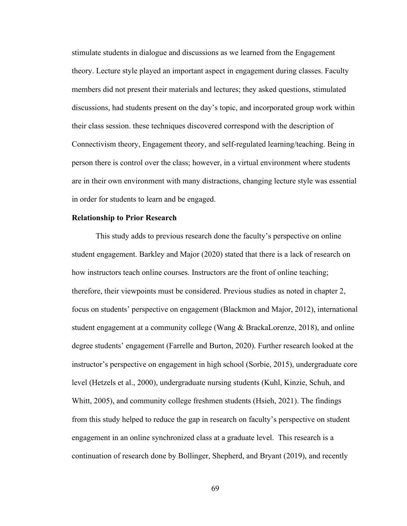stimulate students in dialogue and discussions as we learned from the Engagement theory. Lecture style played an important aspect in engagement during classes. Faculty members did not present their materials and lectures; they asked questions, stimulated discussions, had students present on the day's topic, and incorporated group work within their class session. these techniques discovered correspond with the description of Connectivism theory, Engagement theory, and self-regulated learning/teaching. Being in person there is control over the class; however, in a virtual environment where students are in their own environment with many distractions, changing lecture style was essential in order for students to learn and be engaged.

#### **Relationship to Prior Research**

This study adds to previous research done the faculty's perspective on online student engagement. Barkley and Major (2020) stated that there is a lack of research on how instructors teach online courses. Instructors are the front of online teaching; therefore, their viewpoints must be considered. Previous studies as noted in chapter 2, focus on students' perspective on engagement (Blackmon and Major, 2012), international student engagement at a community college (Wang & BrackaLorenze, 2018), and online degree students' engagement (Farrelle and Burton, 2020). Further research looked at the instructor's perspective on engagement in high school (Sorbie, 2015), undergraduate core level (Hetzels et al., 2000), undergraduate nursing students (Kuhl, Kinzie, Schuh, and Whitt, 2005), and community college freshmen students (Hsieh, 2021). The findings from this study helped to reduce the gap in research on faculty's perspective on student engagement in an online synchronized class at a graduate level. This research is a continuation of research done by Bollinger, Shepherd, and Bryant (2019), and recently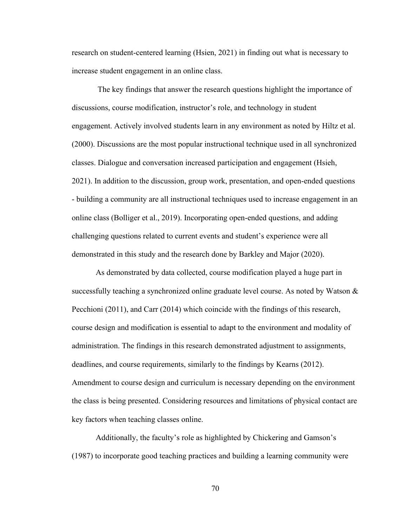research on student-centered learning (Hsien, 2021) in finding out what is necessary to increase student engagement in an online class.

The key findings that answer the research questions highlight the importance of discussions, course modification, instructor's role, and technology in student engagement. Actively involved students learn in any environment as noted by Hiltz et al. (2000). Discussions are the most popular instructional technique used in all synchronized classes. Dialogue and conversation increased participation and engagement (Hsieh, 2021). In addition to the discussion, group work, presentation, and open-ended questions - building a community are all instructional techniques used to increase engagement in an online class (Bolliger et al., 2019). Incorporating open-ended questions, and adding challenging questions related to current events and student's experience were all demonstrated in this study and the research done by Barkley and Major (2020).

As demonstrated by data collected, course modification played a huge part in successfully teaching a synchronized online graduate level course. As noted by Watson  $\&$ Pecchioni (2011), and Carr (2014) which coincide with the findings of this research, course design and modification is essential to adapt to the environment and modality of administration. The findings in this research demonstrated adjustment to assignments, deadlines, and course requirements, similarly to the findings by Kearns (2012). Amendment to course design and curriculum is necessary depending on the environment the class is being presented. Considering resources and limitations of physical contact are key factors when teaching classes online.

Additionally, the faculty's role as highlighted by Chickering and Gamson's (1987) to incorporate good teaching practices and building a learning community were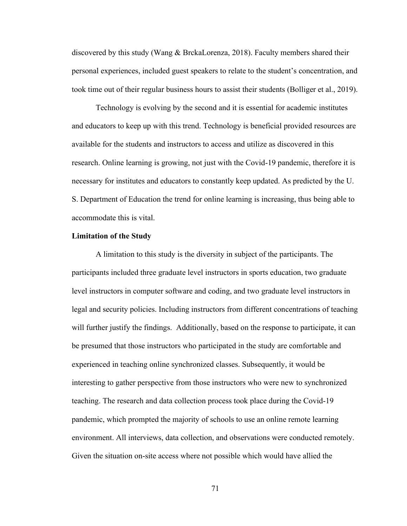discovered by this study (Wang & BrckaLorenza, 2018). Faculty members shared their personal experiences, included guest speakers to relate to the student's concentration, and took time out of their regular business hours to assist their students (Bolliger et al., 2019).

Technology is evolving by the second and it is essential for academic institutes and educators to keep up with this trend. Technology is beneficial provided resources are available for the students and instructors to access and utilize as discovered in this research. Online learning is growing, not just with the Covid-19 pandemic, therefore it is necessary for institutes and educators to constantly keep updated. As predicted by the U. S. Department of Education the trend for online learning is increasing, thus being able to accommodate this is vital.

#### **Limitation of the Study**

A limitation to this study is the diversity in subject of the participants. The participants included three graduate level instructors in sports education, two graduate level instructors in computer software and coding, and two graduate level instructors in legal and security policies. Including instructors from different concentrations of teaching will further justify the findings. Additionally, based on the response to participate, it can be presumed that those instructors who participated in the study are comfortable and experienced in teaching online synchronized classes. Subsequently, it would be interesting to gather perspective from those instructors who were new to synchronized teaching. The research and data collection process took place during the Covid-19 pandemic, which prompted the majority of schools to use an online remote learning environment. All interviews, data collection, and observations were conducted remotely. Given the situation on-site access where not possible which would have allied the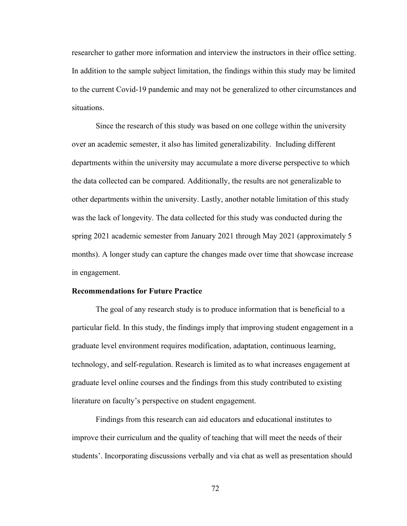researcher to gather more information and interview the instructors in their office setting. In addition to the sample subject limitation, the findings within this study may be limited to the current Covid-19 pandemic and may not be generalized to other circumstances and situations.

Since the research of this study was based on one college within the university over an academic semester, it also has limited generalizability. Including different departments within the university may accumulate a more diverse perspective to which the data collected can be compared. Additionally, the results are not generalizable to other departments within the university. Lastly, another notable limitation of this study was the lack of longevity. The data collected for this study was conducted during the spring 2021 academic semester from January 2021 through May 2021 (approximately 5 months). A longer study can capture the changes made over time that showcase increase in engagement.

#### **Recommendations for Future Practice**

The goal of any research study is to produce information that is beneficial to a particular field. In this study, the findings imply that improving student engagement in a graduate level environment requires modification, adaptation, continuous learning, technology, and self-regulation. Research is limited as to what increases engagement at graduate level online courses and the findings from this study contributed to existing literature on faculty's perspective on student engagement.

Findings from this research can aid educators and educational institutes to improve their curriculum and the quality of teaching that will meet the needs of their students'. Incorporating discussions verbally and via chat as well as presentation should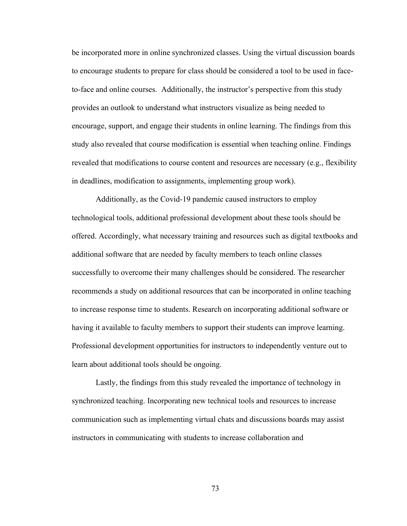be incorporated more in online synchronized classes. Using the virtual discussion boards to encourage students to prepare for class should be considered a tool to be used in faceto-face and online courses. Additionally, the instructor's perspective from this study provides an outlook to understand what instructors visualize as being needed to encourage, support, and engage their students in online learning. The findings from this study also revealed that course modification is essential when teaching online. Findings revealed that modifications to course content and resources are necessary (e.g., flexibility in deadlines, modification to assignments, implementing group work).

Additionally, as the Covid-19 pandemic caused instructors to employ technological tools, additional professional development about these tools should be offered. Accordingly, what necessary training and resources such as digital textbooks and additional software that are needed by faculty members to teach online classes successfully to overcome their many challenges should be considered. The researcher recommends a study on additional resources that can be incorporated in online teaching to increase response time to students. Research on incorporating additional software or having it available to faculty members to support their students can improve learning. Professional development opportunities for instructors to independently venture out to learn about additional tools should be ongoing.

Lastly, the findings from this study revealed the importance of technology in synchronized teaching. Incorporating new technical tools and resources to increase communication such as implementing virtual chats and discussions boards may assist instructors in communicating with students to increase collaboration and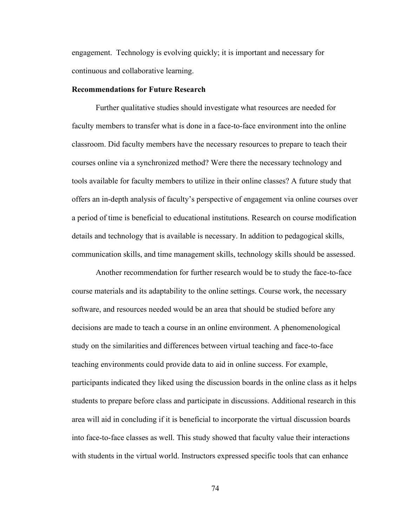engagement. Technology is evolving quickly; it is important and necessary for continuous and collaborative learning.

#### **Recommendations for Future Research**

Further qualitative studies should investigate what resources are needed for faculty members to transfer what is done in a face-to-face environment into the online classroom. Did faculty members have the necessary resources to prepare to teach their courses online via a synchronized method? Were there the necessary technology and tools available for faculty members to utilize in their online classes? A future study that offers an in-depth analysis of faculty's perspective of engagement via online courses over a period of time is beneficial to educational institutions. Research on course modification details and technology that is available is necessary. In addition to pedagogical skills, communication skills, and time management skills, technology skills should be assessed.

Another recommendation for further research would be to study the face-to-face course materials and its adaptability to the online settings. Course work, the necessary software, and resources needed would be an area that should be studied before any decisions are made to teach a course in an online environment. A phenomenological study on the similarities and differences between virtual teaching and face-to-face teaching environments could provide data to aid in online success. For example, participants indicated they liked using the discussion boards in the online class as it helps students to prepare before class and participate in discussions. Additional research in this area will aid in concluding if it is beneficial to incorporate the virtual discussion boards into face-to-face classes as well. This study showed that faculty value their interactions with students in the virtual world. Instructors expressed specific tools that can enhance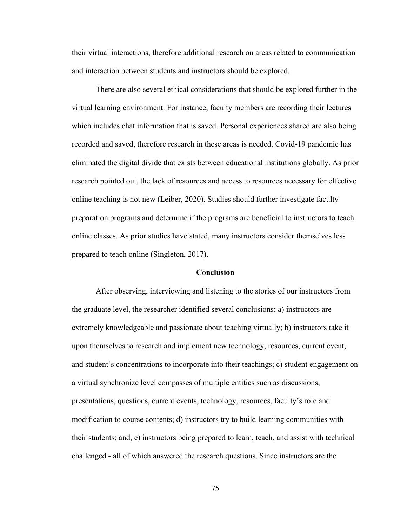their virtual interactions, therefore additional research on areas related to communication and interaction between students and instructors should be explored.

There are also several ethical considerations that should be explored further in the virtual learning environment. For instance, faculty members are recording their lectures which includes chat information that is saved. Personal experiences shared are also being recorded and saved, therefore research in these areas is needed. Covid-19 pandemic has eliminated the digital divide that exists between educational institutions globally. As prior research pointed out, the lack of resources and access to resources necessary for effective online teaching is not new (Leiber, 2020). Studies should further investigate faculty preparation programs and determine if the programs are beneficial to instructors to teach online classes. As prior studies have stated, many instructors consider themselves less prepared to teach online (Singleton, 2017).

#### **Conclusion**

After observing, interviewing and listening to the stories of our instructors from the graduate level, the researcher identified several conclusions: a) instructors are extremely knowledgeable and passionate about teaching virtually; b) instructors take it upon themselves to research and implement new technology, resources, current event, and student's concentrations to incorporate into their teachings; c) student engagement on a virtual synchronize level compasses of multiple entities such as discussions, presentations, questions, current events, technology, resources, faculty's role and modification to course contents; d) instructors try to build learning communities with their students; and, e) instructors being prepared to learn, teach, and assist with technical challenged - all of which answered the research questions. Since instructors are the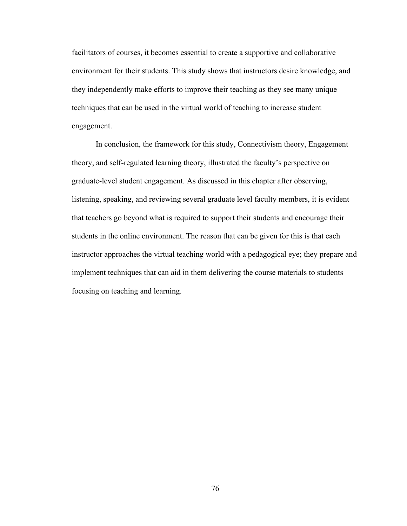facilitators of courses, it becomes essential to create a supportive and collaborative environment for their students. This study shows that instructors desire knowledge, and they independently make efforts to improve their teaching as they see many unique techniques that can be used in the virtual world of teaching to increase student engagement.

In conclusion, the framework for this study, Connectivism theory, Engagement theory, and self-regulated learning theory, illustrated the faculty's perspective on graduate-level student engagement. As discussed in this chapter after observing, listening, speaking, and reviewing several graduate level faculty members, it is evident that teachers go beyond what is required to support their students and encourage their students in the online environment. The reason that can be given for this is that each instructor approaches the virtual teaching world with a pedagogical eye; they prepare and implement techniques that can aid in them delivering the course materials to students focusing on teaching and learning.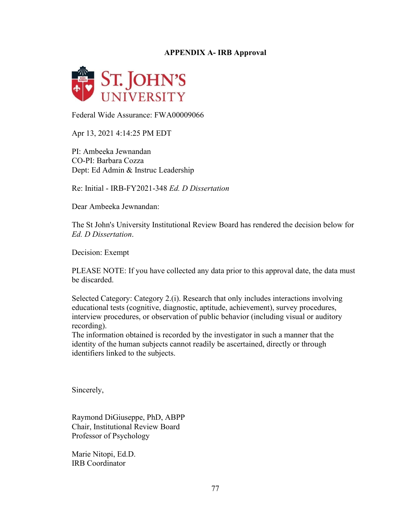## **APPENDIX A- IRB Approval**



Federal Wide Assurance: FWA00009066

Apr 13, 2021 4:14:25 PM EDT

PI: Ambeeka Jewnandan CO-PI: Barbara Cozza Dept: Ed Admin & Instruc Leadership

Re: Initial - IRB-FY2021-348 *Ed. D Dissertation*

Dear Ambeeka Jewnandan:

The St John's University Institutional Review Board has rendered the decision below for *Ed. D Dissertation*.

Decision: Exempt

PLEASE NOTE: If you have collected any data prior to this approval date, the data must be discarded.

Selected Category: Category 2.(i). Research that only includes interactions involving educational tests (cognitive, diagnostic, aptitude, achievement), survey procedures, interview procedures, or observation of public behavior (including visual or auditory recording).

The information obtained is recorded by the investigator in such a manner that the identity of the human subjects cannot readily be ascertained, directly or through identifiers linked to the subjects.

Sincerely,

Raymond DiGiuseppe, PhD, ABPP Chair, Institutional Review Board Professor of Psychology

Marie Nitopi, Ed.D. IRB Coordinator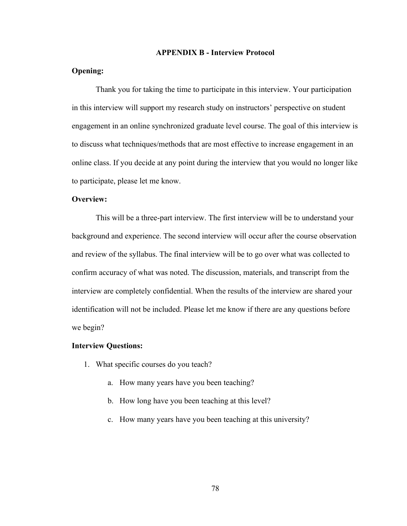#### **APPENDIX B - Interview Protocol**

## **Opening:**

Thank you for taking the time to participate in this interview. Your participation in this interview will support my research study on instructors' perspective on student engagement in an online synchronized graduate level course. The goal of this interview is to discuss what techniques/methods that are most effective to increase engagement in an online class. If you decide at any point during the interview that you would no longer like to participate, please let me know.

#### **Overview:**

This will be a three-part interview. The first interview will be to understand your background and experience. The second interview will occur after the course observation and review of the syllabus. The final interview will be to go over what was collected to confirm accuracy of what was noted. The discussion, materials, and transcript from the interview are completely confidential. When the results of the interview are shared your identification will not be included. Please let me know if there are any questions before we begin?

#### **Interview Questions:**

- 1. What specific courses do you teach?
	- a. How many years have you been teaching?
	- b. How long have you been teaching at this level?
	- c. How many years have you been teaching at this university?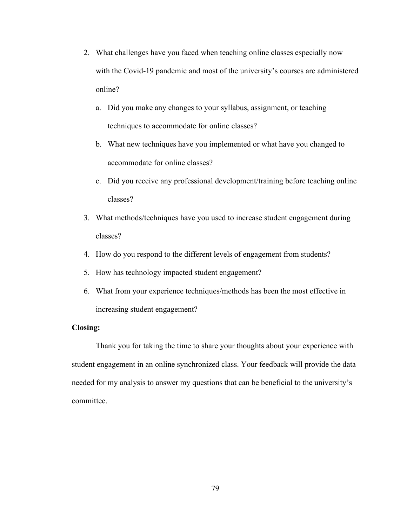- 2. What challenges have you faced when teaching online classes especially now with the Covid-19 pandemic and most of the university's courses are administered online?
	- a. Did you make any changes to your syllabus, assignment, or teaching techniques to accommodate for online classes?
	- b. What new techniques have you implemented or what have you changed to accommodate for online classes?
	- c. Did you receive any professional development/training before teaching online classes?
- 3. What methods/techniques have you used to increase student engagement during classes?
- 4. How do you respond to the different levels of engagement from students?
- 5. How has technology impacted student engagement?
- 6. What from your experience techniques/methods has been the most effective in increasing student engagement?

### **Closing:**

Thank you for taking the time to share your thoughts about your experience with student engagement in an online synchronized class. Your feedback will provide the data needed for my analysis to answer my questions that can be beneficial to the university's committee.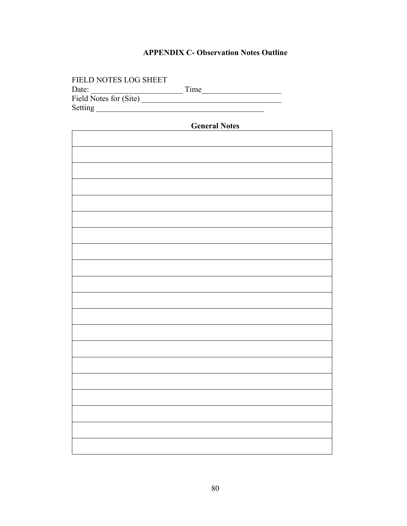## **APPENDIX C- Observation Notes Outline**

| FIELD NOTES LOG SHEET  |      |
|------------------------|------|
| Date:                  | Time |
| Field Notes for (Site) |      |
| Setting                |      |

| <b>General Notes</b> |  |  |  |  |
|----------------------|--|--|--|--|
|                      |  |  |  |  |
|                      |  |  |  |  |
|                      |  |  |  |  |
|                      |  |  |  |  |
|                      |  |  |  |  |
|                      |  |  |  |  |
|                      |  |  |  |  |
|                      |  |  |  |  |
|                      |  |  |  |  |
|                      |  |  |  |  |
|                      |  |  |  |  |
|                      |  |  |  |  |
|                      |  |  |  |  |
|                      |  |  |  |  |
|                      |  |  |  |  |
|                      |  |  |  |  |
|                      |  |  |  |  |
|                      |  |  |  |  |
|                      |  |  |  |  |
|                      |  |  |  |  |
|                      |  |  |  |  |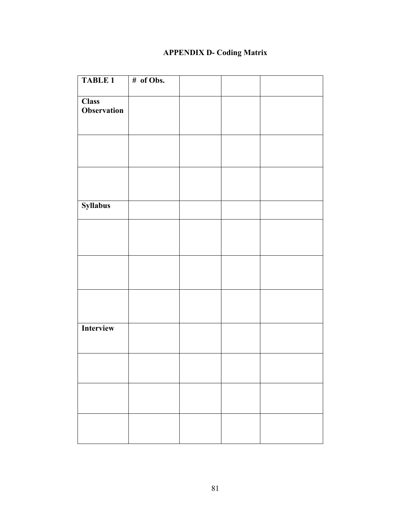# **APPENDIX D- Coding Matrix**

| <b>TABLE 1</b>  | # of Obs. |  |  |
|-----------------|-----------|--|--|
|                 |           |  |  |
| <b>Class</b>    |           |  |  |
| Observation     |           |  |  |
|                 |           |  |  |
|                 |           |  |  |
|                 |           |  |  |
|                 |           |  |  |
|                 |           |  |  |
|                 |           |  |  |
|                 |           |  |  |
|                 |           |  |  |
| <b>Syllabus</b> |           |  |  |
|                 |           |  |  |
|                 |           |  |  |
|                 |           |  |  |
|                 |           |  |  |
|                 |           |  |  |
|                 |           |  |  |
|                 |           |  |  |
|                 |           |  |  |
|                 |           |  |  |
|                 |           |  |  |
| Interview       |           |  |  |
|                 |           |  |  |
|                 |           |  |  |
|                 |           |  |  |
|                 |           |  |  |
|                 |           |  |  |
|                 |           |  |  |
|                 |           |  |  |
|                 |           |  |  |
|                 |           |  |  |
|                 |           |  |  |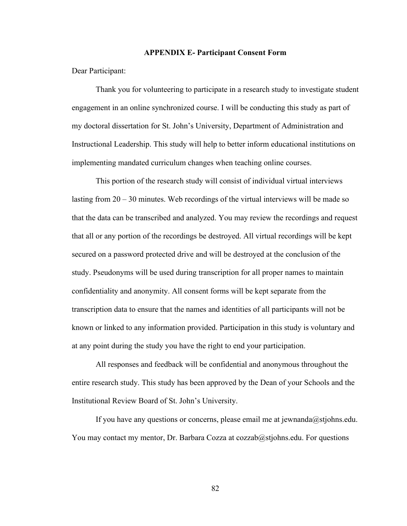#### **APPENDIX E- Participant Consent Form**

Dear Participant:

Thank you for volunteering to participate in a research study to investigate student engagement in an online synchronized course. I will be conducting this study as part of my doctoral dissertation for St. John's University, Department of Administration and Instructional Leadership. This study will help to better inform educational institutions on implementing mandated curriculum changes when teaching online courses.

This portion of the research study will consist of individual virtual interviews lasting from 20 – 30 minutes. Web recordings of the virtual interviews will be made so that the data can be transcribed and analyzed. You may review the recordings and request that all or any portion of the recordings be destroyed. All virtual recordings will be kept secured on a password protected drive and will be destroyed at the conclusion of the study. Pseudonyms will be used during transcription for all proper names to maintain confidentiality and anonymity. All consent forms will be kept separate from the transcription data to ensure that the names and identities of all participants will not be known or linked to any information provided. Participation in this study is voluntary and at any point during the study you have the right to end your participation.

All responses and feedback will be confidential and anonymous throughout the entire research study. This study has been approved by the Dean of your Schools and the Institutional Review Board of St. John's University.

If you have any questions or concerns, please email me at jewnanda@stjohns.edu. You may contact my mentor, Dr. Barbara Cozza at cozzab@stjohns.edu. For questions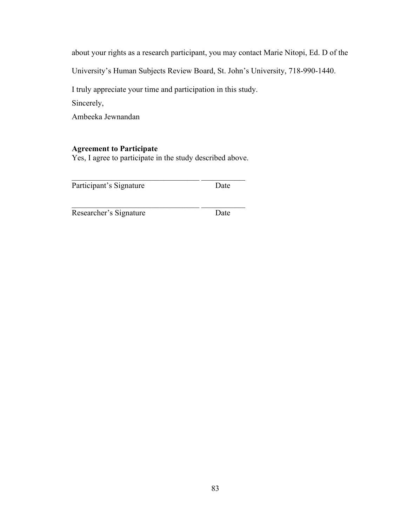about your rights as a research participant, you may contact Marie Nitopi, Ed. D of the

University's Human Subjects Review Board, St. John's University, 718-990-1440.

I truly appreciate your time and participation in this study.

Sincerely,

Ambeeka Jewnandan

## **Agreement to Participate**

Yes, I agree to participate in the study described above.

 $\mathcal{L}_\text{max}$  , and the set of the set of the set of the set of the set of the set of the set of the set of the set of the set of the set of the set of the set of the set of the set of the set of the set of the set of the

\_\_\_\_\_\_\_\_\_\_\_\_\_\_\_\_\_\_\_\_\_\_\_\_\_\_\_\_\_\_\_\_ \_\_\_\_\_\_\_\_\_\_\_

Participant's Signature Date

Researcher's Signature Date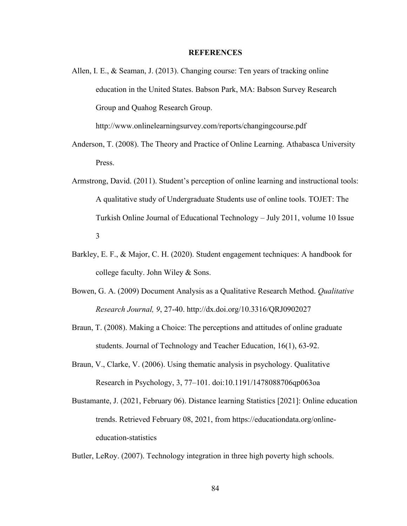#### **REFERENCES**

Allen, I. E., & Seaman, J. (2013). Changing course: Ten years of tracking online education in the United States. Babson Park, MA: Babson Survey Research Group and Quahog Research Group.

http://www.onlinelearningsurvey.com/reports/changingcourse.pdf

- Anderson, T. (2008). The Theory and Practice of Online Learning. Athabasca University Press.
- Armstrong, David. (2011). Student's perception of online learning and instructional tools: A qualitative study of Undergraduate Students use of online tools. TOJET: The Turkish Online Journal of Educational Technology – July 2011, volume 10 Issue 3
- Barkley, E. F., & Major, C. H. (2020). Student engagement techniques: A handbook for college faculty. John Wiley & Sons.
- Bowen, G. A. (2009) Document Analysis as a Qualitative Research Method. *Qualitative Research Journal, 9*, 27-40. http://dx.doi.org/10.3316/QRJ0902027
- Braun, T. (2008). Making a Choice: The perceptions and attitudes of online graduate students. Journal of Technology and Teacher Education, 16(1), 63-92.
- Braun, V., Clarke, V. (2006). Using thematic analysis in psychology. Qualitative Research in Psychology, 3, 77–101. doi:10.1191/1478088706qp063oa
- Bustamante, J. (2021, February 06). Distance learning Statistics [2021]: Online education trends. Retrieved February 08, 2021, from https://educationdata.org/onlineeducation-statistics

Butler, LeRoy. (2007). Technology integration in three high poverty high schools.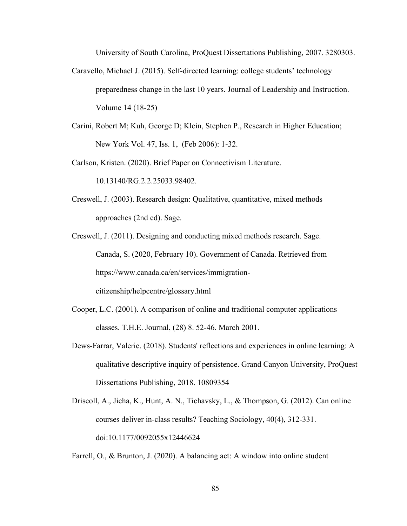University of South Carolina, ProQuest Dissertations Publishing, 2007. 3280303.

- Caravello, Michael J. (2015). Self-directed learning: college students' technology preparedness change in the last 10 years. Journal of Leadership and Instruction. Volume 14 (18-25)
- Carini, Robert M; Kuh, George D; Klein, Stephen P., Research in Higher Education; New York Vol. 47, Iss. 1, (Feb 2006): 1-32.

Carlson, Kristen. (2020). Brief Paper on Connectivism Literature.

10.13140/RG.2.2.25033.98402.

- Creswell, J. (2003). Research design: Qualitative, quantitative, mixed methods approaches (2nd ed). Sage.
- Creswell, J. (2011). Designing and conducting mixed methods research. Sage. Canada, S. (2020, February 10). Government of Canada. Retrieved from https://www.canada.ca/en/services/immigrationcitizenship/helpcentre/glossary.html
- Cooper, L.C. (2001). A comparison of online and traditional computer applications classes. T.H.E. Journal, (28) 8. 52-46. March 2001.
- Dews-Farrar, Valerie. (2018). Students' reflections and experiences in online learning: A qualitative descriptive inquiry of persistence. Grand Canyon University, ProQuest Dissertations Publishing, 2018. 10809354
- Driscoll, A., Jicha, K., Hunt, A. N., Tichavsky, L., & Thompson, G. (2012). Can online courses deliver in-class results? Teaching Sociology, 40(4), 312-331. doi:10.1177/0092055x12446624

Farrell, O., & Brunton, J. (2020). A balancing act: A window into online student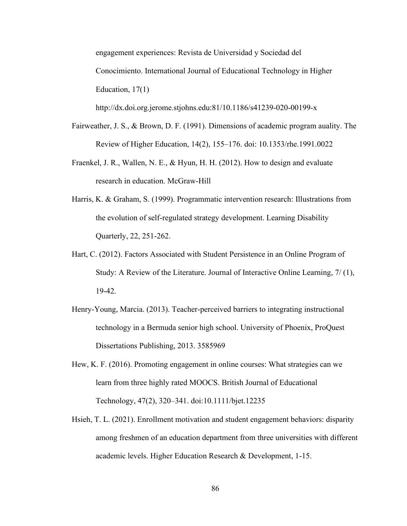engagement experiences: Revista de Universidad y Sociedad del Conocimiento. International Journal of Educational Technology in Higher Education, 17(1)

http://dx.doi.org.jerome.stjohns.edu:81/10.1186/s41239-020-00199-x

- Fairweather, J. S., & Brown, D. F. (1991). Dimensions of academic program auality. The Review of Higher Education, 14(2), 155–176. doi: 10.1353/rhe.1991.0022
- Fraenkel, J. R., Wallen, N. E., & Hyun, H. H. (2012). How to design and evaluate research in education. McGraw-Hill
- Harris, K. & Graham, S. (1999). Programmatic intervention research: Illustrations from the evolution of self-regulated strategy development. Learning Disability Quarterly, 22, 251-262.
- Hart, C. (2012). Factors Associated with Student Persistence in an Online Program of Study: A Review of the Literature. Journal of Interactive Online Learning, 7/ (1), 19-42.
- Henry-Young, Marcia. (2013). Teacher-perceived barriers to integrating instructional technology in a Bermuda senior high school. University of Phoenix, ProQuest Dissertations Publishing, 2013. 3585969
- Hew, K. F. (2016). Promoting engagement in online courses: What strategies can we learn from three highly rated MOOCS. British Journal of Educational Technology, 47(2), 320–341. doi:10.1111/bjet.12235
- Hsieh, T. L. (2021). Enrollment motivation and student engagement behaviors: disparity among freshmen of an education department from three universities with different academic levels. Higher Education Research & Development, 1-15.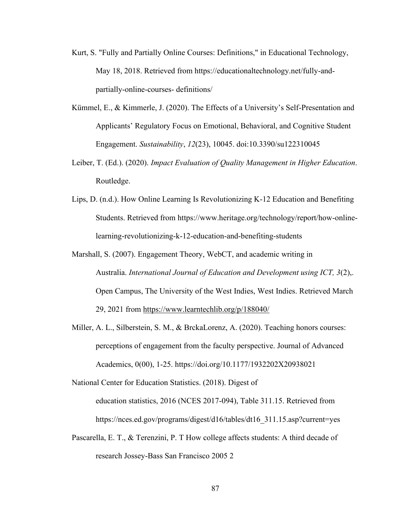- Kurt, S. "Fully and Partially Online Courses: Definitions," in Educational Technology, May 18, 2018. Retrieved from https://educationaltechnology.net/fully-andpartially-online-courses- definitions/
- Kümmel, E., & Kimmerle, J. (2020). The Effects of a University's Self-Presentation and Applicants' Regulatory Focus on Emotional, Behavioral, and Cognitive Student Engagement. *Sustainability*, *12*(23), 10045. doi:10.3390/su122310045
- Leiber, T. (Ed.). (2020). *Impact Evaluation of Quality Management in Higher Education*. Routledge.
- Lips, D. (n.d.). How Online Learning Is Revolutionizing K-12 Education and Benefiting Students. Retrieved from https://www.heritage.org/technology/report/how-onlinelearning-revolutionizing-k-12-education-and-benefiting-students
- Marshall, S. (2007). Engagement Theory, WebCT, and academic writing in Australia. *International Journal of Education and Development using ICT, 3*(2),. Open Campus, The University of the West Indies, West Indies. Retrieved March 29, 2021 from <https://www.learntechlib.org/p/188040/>
- Miller, A. L., Silberstein, S. M., & BrckaLorenz, A. (2020). Teaching honors courses: perceptions of engagement from the faculty perspective. Journal of Advanced Academics, 0(00), 1-25. https://doi.org/10.1177/1932202X20938021

National Center for Education Statistics. (2018). Digest of education statistics, 2016 (NCES 2017-094), Table 311.15. Retrieved from https://nces.ed.gov/programs/digest/d16/tables/dt16\_311.15.asp?current=yes

Pascarella, E. T., & Terenzini, P. T How college affects students: A third decade of research Jossey-Bass San Francisco 2005 2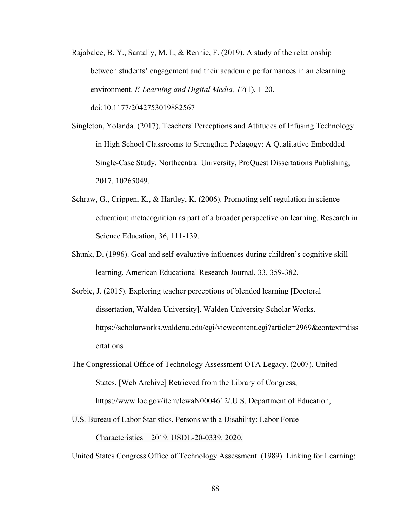- Rajabalee, B. Y., Santally, M. I., & Rennie, F. (2019). A study of the relationship between students' engagement and their academic performances in an elearning environment. *E-Learning and Digital Media, 17*(1), 1-20. doi:10.1177/2042753019882567
- Singleton, Yolanda. (2017). Teachers' Perceptions and Attitudes of Infusing Technology in High School Classrooms to Strengthen Pedagogy: A Qualitative Embedded Single-Case Study. Northcentral University, ProQuest Dissertations Publishing, 2017. 10265049.
- Schraw, G., Crippen, K., & Hartley, K. (2006). Promoting self-regulation in science education: metacognition as part of a broader perspective on learning. Research in Science Education, 36, 111-139.
- Shunk, D. (1996). Goal and self-evaluative influences during children's cognitive skill learning. American Educational Research Journal, 33, 359-382.
- Sorbie, J. (2015). Exploring teacher perceptions of blended learning [Doctoral dissertation, Walden University]. Walden University Scholar Works. https://scholarworks.waldenu.edu/cgi/viewcontent.cgi?article=2969&context=diss ertations
- The Congressional Office of Technology Assessment OTA Legacy. (2007). United States. [Web Archive] Retrieved from the Library of Congress, https://www.loc.gov/item/lcwaN0004612/.U.S. Department of Education,
- U.S. Bureau of Labor Statistics. Persons with a Disability: Labor Force Characteristics—2019. USDL-20-0339. 2020.

United States Congress Office of Technology Assessment. (1989). Linking for Learning: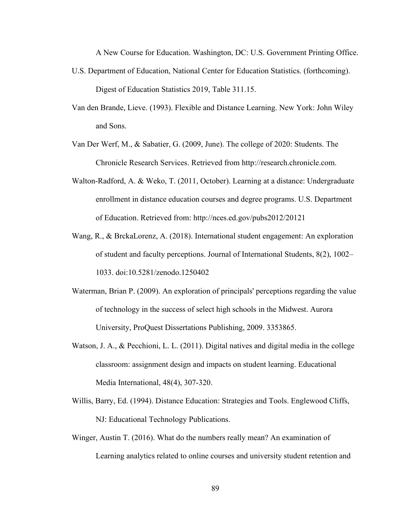A New Course for Education. Washington, DC: U.S. Government Printing Office.

- U.S. Department of Education, National Center for Education Statistics. (forthcoming). Digest of Education Statistics 2019, Table 311.15.
- Van den Brande, Lieve. (1993). Flexible and Distance Learning. New York: John Wiley and Sons.
- Van Der Werf, M., & Sabatier, G. (2009, June). The college of 2020: Students. The Chronicle Research Services. Retrieved from http://research.chronicle.com.
- Walton-Radford, A. & Weko, T. (2011, October). Learning at a distance: Undergraduate enrollment in distance education courses and degree programs. U.S. Department of Education. Retrieved from: http://nces.ed.gov/pubs2012/20121
- Wang, R., & BrckaLorenz, A. (2018). International student engagement: An exploration of student and faculty perceptions. Journal of International Students, 8(2), 1002– 1033. doi:10.5281/zenodo.1250402
- Waterman, Brian P. (2009). An exploration of principals' perceptions regarding the value of technology in the success of select high schools in the Midwest. Aurora University, ProQuest Dissertations Publishing, 2009. 3353865.
- Watson, J. A., & Pecchioni, L. L. (2011). Digital natives and digital media in the college classroom: assignment design and impacts on student learning. Educational Media International, 48(4), 307-320.
- Willis, Barry, Ed. (1994). Distance Education: Strategies and Tools. Englewood Cliffs, NJ: Educational Technology Publications.
- Winger, Austin T. (2016). What do the numbers really mean? An examination of Learning analytics related to online courses and university student retention and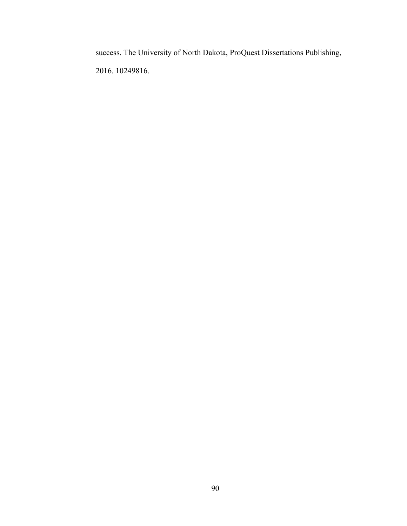success. The University of North Dakota, ProQuest Dissertations Publishing, 2016. 10249816.